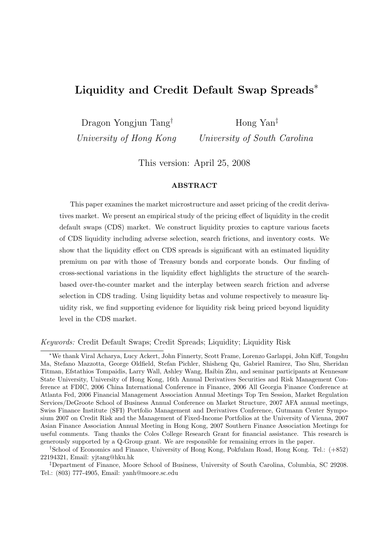# Liquidity and Credit Default Swap Spreads<sup>∗</sup>

Dragon Yongjun Tang† University of Hong Kong

Hong Yan‡ University of South Carolina

This version: April 25, 2008

#### ABSTRACT

This paper examines the market microstructure and asset pricing of the credit derivatives market. We present an empirical study of the pricing effect of liquidity in the credit default swaps (CDS) market. We construct liquidity proxies to capture various facets of CDS liquidity including adverse selection, search frictions, and inventory costs. We show that the liquidity effect on CDS spreads is significant with an estimated liquidity premium on par with those of Treasury bonds and corporate bonds. Our finding of cross-sectional variations in the liquidity effect highlights the structure of the searchbased over-the-counter market and the interplay between search friction and adverse selection in CDS trading. Using liquidity betas and volume respectively to measure liquidity risk, we find supporting evidence for liquidity risk being priced beyond liquidity level in the CDS market.

Keywords: Credit Default Swaps; Credit Spreads; Liquidity; Liquidity Risk

<sup>∗</sup>We thank Viral Acharya, Lucy Ackert, John Finnerty, Scott Frame, Lorenzo Garlappi, John Kiff, Tongshu Ma, Stefano Mazzotta, George Oldfield, Stefan Pichler, Shisheng Qu, Gabriel Ramirez, Tao Shu, Sheridan Titman, Efstathios Tompaidis, Larry Wall, Ashley Wang, Haibin Zhu, and seminar participants at Kennesaw State University, University of Hong Kong, 16th Annual Derivatives Securities and Risk Management Conference at FDIC, 2006 China International Conference in Finance, 2006 All Georgia Finance Conference at Atlanta Fed, 2006 Financial Management Association Annual Meetings Top Ten Session, Market Regulation Services/DeGroote School of Business Annual Conference on Market Structure, 2007 AFA annual meetings, Swiss Finance Institute (SFI) Portfolio Management and Derivatives Conference, Gutmann Center Symposium 2007 on Credit Risk and the Management of Fixed-Income Portfolios at the University of Vienna, 2007 Asian Finance Association Annual Meeting in Hong Kong, 2007 Southern Finance Association Meetings for useful comments. Tang thanks the Coles College Research Grant for financial assistance. This research is generously supported by a Q-Group grant. We are responsible for remaining errors in the paper.

<sup>†</sup>School of Economics and Finance, University of Hong Kong, Pokfulam Road, Hong Kong. Tel.: (+852) 22194321, Email: yjtang@hku.hk

<sup>‡</sup>Department of Finance, Moore School of Business, University of South Carolina, Columbia, SC 29208. Tel.: (803) 777-4905, Email: yanh@moore.sc.edu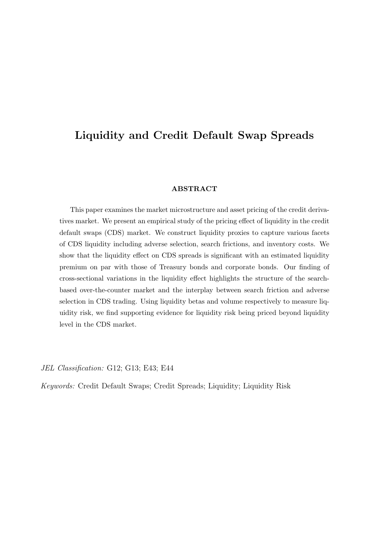# Liquidity and Credit Default Swap Spreads

#### ABSTRACT

This paper examines the market microstructure and asset pricing of the credit derivatives market. We present an empirical study of the pricing effect of liquidity in the credit default swaps (CDS) market. We construct liquidity proxies to capture various facets of CDS liquidity including adverse selection, search frictions, and inventory costs. We show that the liquidity effect on CDS spreads is significant with an estimated liquidity premium on par with those of Treasury bonds and corporate bonds. Our finding of cross-sectional variations in the liquidity effect highlights the structure of the searchbased over-the-counter market and the interplay between search friction and adverse selection in CDS trading. Using liquidity betas and volume respectively to measure liquidity risk, we find supporting evidence for liquidity risk being priced beyond liquidity level in the CDS market.

JEL Classification: G12; G13; E43; E44

Keywords: Credit Default Swaps; Credit Spreads; Liquidity; Liquidity Risk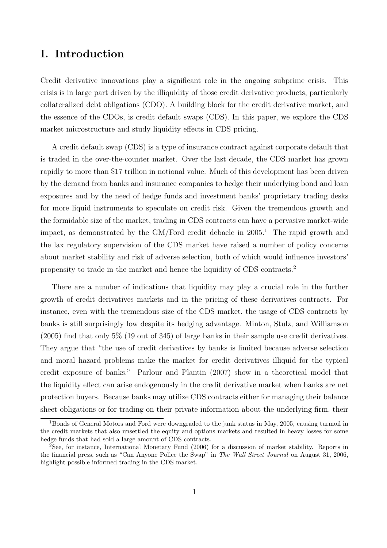# I. Introduction

Credit derivative innovations play a significant role in the ongoing subprime crisis. This crisis is in large part driven by the illiquidity of those credit derivative products, particularly collateralized debt obligations (CDO). A building block for the credit derivative market, and the essence of the CDOs, is credit default swaps (CDS). In this paper, we explore the CDS market microstructure and study liquidity effects in CDS pricing.

A credit default swap (CDS) is a type of insurance contract against corporate default that is traded in the over-the-counter market. Over the last decade, the CDS market has grown rapidly to more than \$17 trillion in notional value. Much of this development has been driven by the demand from banks and insurance companies to hedge their underlying bond and loan exposures and by the need of hedge funds and investment banks' proprietary trading desks for more liquid instruments to speculate on credit risk. Given the tremendous growth and the formidable size of the market, trading in CDS contracts can have a pervasive market-wide impact, as demonstrated by the  $GM/$  Ford credit debacle in  $2005<sup>1</sup>$ . The rapid growth and the lax regulatory supervision of the CDS market have raised a number of policy concerns about market stability and risk of adverse selection, both of which would influence investors' propensity to trade in the market and hence the liquidity of CDS contracts.<sup>2</sup>

There are a number of indications that liquidity may play a crucial role in the further growth of credit derivatives markets and in the pricing of these derivatives contracts. For instance, even with the tremendous size of the CDS market, the usage of CDS contracts by banks is still surprisingly low despite its hedging advantage. Minton, Stulz, and Williamson (2005) find that only 5% (19 out of 345) of large banks in their sample use credit derivatives. They argue that "the use of credit derivatives by banks is limited because adverse selection and moral hazard problems make the market for credit derivatives illiquid for the typical credit exposure of banks." Parlour and Plantin (2007) show in a theoretical model that the liquidity effect can arise endogenously in the credit derivative market when banks are net protection buyers. Because banks may utilize CDS contracts either for managing their balance sheet obligations or for trading on their private information about the underlying firm, their

<sup>&</sup>lt;sup>1</sup>Bonds of General Motors and Ford were downgraded to the junk status in May, 2005, causing turmoil in the credit markets that also unsettled the equity and options markets and resulted in heavy losses for some hedge funds that had sold a large amount of CDS contracts.

 $2$ See, for instance, International Monetary Fund (2006) for a discussion of market stability. Reports in the financial press, such as "Can Anyone Police the Swap" in The Wall Street Journal on August 31, 2006, highlight possible informed trading in the CDS market.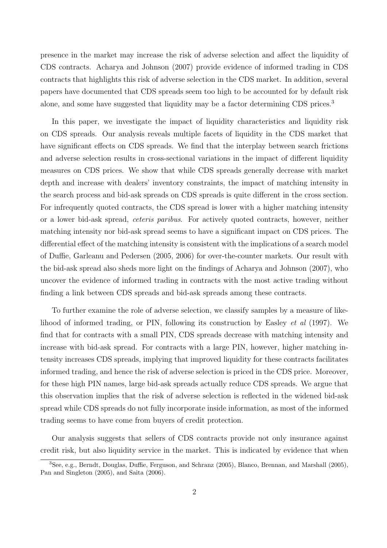presence in the market may increase the risk of adverse selection and affect the liquidity of CDS contracts. Acharya and Johnson (2007) provide evidence of informed trading in CDS contracts that highlights this risk of adverse selection in the CDS market. In addition, several papers have documented that CDS spreads seem too high to be accounted for by default risk alone, and some have suggested that liquidity may be a factor determining CDS prices.<sup>3</sup>

In this paper, we investigate the impact of liquidity characteristics and liquidity risk on CDS spreads. Our analysis reveals multiple facets of liquidity in the CDS market that have significant effects on CDS spreads. We find that the interplay between search frictions and adverse selection results in cross-sectional variations in the impact of different liquidity measures on CDS prices. We show that while CDS spreads generally decrease with market depth and increase with dealers' inventory constraints, the impact of matching intensity in the search process and bid-ask spreads on CDS spreads is quite different in the cross section. For infrequently quoted contracts, the CDS spread is lower with a higher matching intensity or a lower bid-ask spread, ceteris paribus. For actively quoted contracts, however, neither matching intensity nor bid-ask spread seems to have a significant impact on CDS prices. The differential effect of the matching intensity is consistent with the implications of a search model of Duffie, Garleanu and Pedersen (2005, 2006) for over-the-counter markets. Our result with the bid-ask spread also sheds more light on the findings of Acharya and Johnson (2007), who uncover the evidence of informed trading in contracts with the most active trading without finding a link between CDS spreads and bid-ask spreads among these contracts.

To further examine the role of adverse selection, we classify samples by a measure of likelihood of informed trading, or PIN, following its construction by Easley et al (1997). We find that for contracts with a small PIN, CDS spreads decrease with matching intensity and increase with bid-ask spread. For contracts with a large PIN, however, higher matching intensity increases CDS spreads, implying that improved liquidity for these contracts facilitates informed trading, and hence the risk of adverse selection is priced in the CDS price. Moreover, for these high PIN names, large bid-ask spreads actually reduce CDS spreads. We argue that this observation implies that the risk of adverse selection is reflected in the widened bid-ask spread while CDS spreads do not fully incorporate inside information, as most of the informed trading seems to have come from buyers of credit protection.

Our analysis suggests that sellers of CDS contracts provide not only insurance against credit risk, but also liquidity service in the market. This is indicated by evidence that when

<sup>3</sup>See, e.g., Berndt, Douglas, Duffie, Ferguson, and Schranz (2005), Blanco, Brennan, and Marshall (2005), Pan and Singleton (2005), and Saita (2006).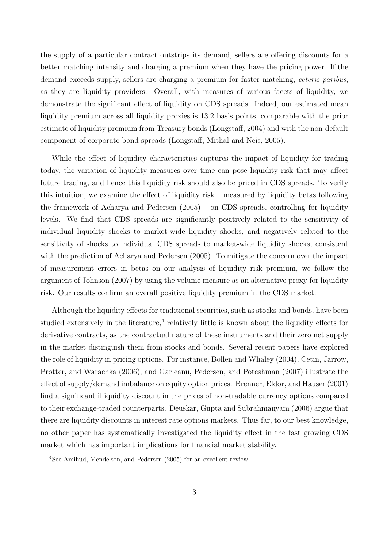the supply of a particular contract outstrips its demand, sellers are offering discounts for a better matching intensity and charging a premium when they have the pricing power. If the demand exceeds supply, sellers are charging a premium for faster matching, ceteris paribus, as they are liquidity providers. Overall, with measures of various facets of liquidity, we demonstrate the significant effect of liquidity on CDS spreads. Indeed, our estimated mean liquidity premium across all liquidity proxies is 13.2 basis points, comparable with the prior estimate of liquidity premium from Treasury bonds (Longstaff, 2004) and with the non-default component of corporate bond spreads (Longstaff, Mithal and Neis, 2005).

While the effect of liquidity characteristics captures the impact of liquidity for trading today, the variation of liquidity measures over time can pose liquidity risk that may affect future trading, and hence this liquidity risk should also be priced in CDS spreads. To verify this intuition, we examine the effect of liquidity risk – measured by liquidity betas following the framework of Acharya and Pedersen (2005) – on CDS spreads, controlling for liquidity levels. We find that CDS spreads are significantly positively related to the sensitivity of individual liquidity shocks to market-wide liquidity shocks, and negatively related to the sensitivity of shocks to individual CDS spreads to market-wide liquidity shocks, consistent with the prediction of Acharya and Pedersen (2005). To mitigate the concern over the impact of measurement errors in betas on our analysis of liquidity risk premium, we follow the argument of Johnson (2007) by using the volume measure as an alternative proxy for liquidity risk. Our results confirm an overall positive liquidity premium in the CDS market.

Although the liquidity effects for traditional securities, such as stocks and bonds, have been studied extensively in the literature,<sup>4</sup> relatively little is known about the liquidity effects for derivative contracts, as the contractual nature of these instruments and their zero net supply in the market distinguish them from stocks and bonds. Several recent papers have explored the role of liquidity in pricing options. For instance, Bollen and Whaley (2004), Cetin, Jarrow, Protter, and Warachka (2006), and Garleanu, Pedersen, and Poteshman (2007) illustrate the effect of supply/demand imbalance on equity option prices. Brenner, Eldor, and Hauser (2001) find a significant illiquidity discount in the prices of non-tradable currency options compared to their exchange-traded counterparts. Deuskar, Gupta and Subrahmanyam (2006) argue that there are liquidity discounts in interest rate options markets. Thus far, to our best knowledge, no other paper has systematically investigated the liquidity effect in the fast growing CDS market which has important implications for financial market stability.

<sup>4</sup>See Amihud, Mendelson, and Pedersen (2005) for an excellent review.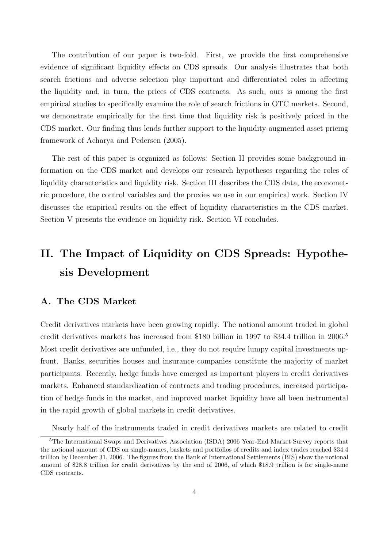The contribution of our paper is two-fold. First, we provide the first comprehensive evidence of significant liquidity effects on CDS spreads. Our analysis illustrates that both search frictions and adverse selection play important and differentiated roles in affecting the liquidity and, in turn, the prices of CDS contracts. As such, ours is among the first empirical studies to specifically examine the role of search frictions in OTC markets. Second, we demonstrate empirically for the first time that liquidity risk is positively priced in the CDS market. Our finding thus lends further support to the liquidity-augmented asset pricing framework of Acharya and Pedersen (2005).

The rest of this paper is organized as follows: Section II provides some background information on the CDS market and develops our research hypotheses regarding the roles of liquidity characteristics and liquidity risk. Section III describes the CDS data, the econometric procedure, the control variables and the proxies we use in our empirical work. Section IV discusses the empirical results on the effect of liquidity characteristics in the CDS market. Section V presents the evidence on liquidity risk. Section VI concludes.

# II. The Impact of Liquidity on CDS Spreads: Hypothesis Development

#### A. The CDS Market

Credit derivatives markets have been growing rapidly. The notional amount traded in global credit derivatives markets has increased from \$180 billion in 1997 to \$34.4 trillion in 2006.<sup>5</sup> Most credit derivatives are unfunded, i.e., they do not require lumpy capital investments upfront. Banks, securities houses and insurance companies constitute the majority of market participants. Recently, hedge funds have emerged as important players in credit derivatives markets. Enhanced standardization of contracts and trading procedures, increased participation of hedge funds in the market, and improved market liquidity have all been instrumental in the rapid growth of global markets in credit derivatives.

Nearly half of the instruments traded in credit derivatives markets are related to credit

<sup>5</sup>The International Swaps and Derivatives Association (ISDA) 2006 Year-End Market Survey reports that the notional amount of CDS on single-names, baskets and portfolios of credits and index trades reached \$34.4 trillion by December 31, 2006. The figures from the Bank of International Settlements (BIS) show the notional amount of \$28.8 trillion for credit derivatives by the end of 2006, of which \$18.9 trillion is for single-name CDS contracts.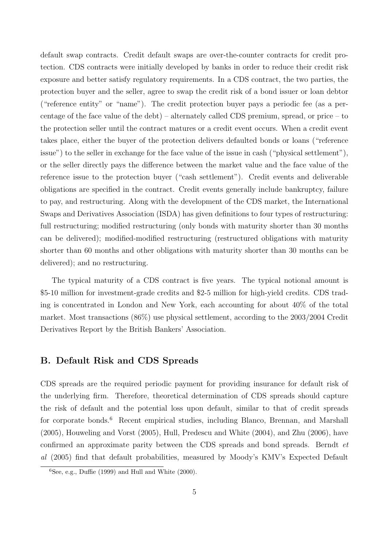default swap contracts. Credit default swaps are over-the-counter contracts for credit protection. CDS contracts were initially developed by banks in order to reduce their credit risk exposure and better satisfy regulatory requirements. In a CDS contract, the two parties, the protection buyer and the seller, agree to swap the credit risk of a bond issuer or loan debtor ("reference entity" or "name"). The credit protection buyer pays a periodic fee (as a percentage of the face value of the debt) – alternately called CDS premium, spread, or price – to the protection seller until the contract matures or a credit event occurs. When a credit event takes place, either the buyer of the protection delivers defaulted bonds or loans ("reference issue") to the seller in exchange for the face value of the issue in cash ("physical settlement"), or the seller directly pays the difference between the market value and the face value of the reference issue to the protection buyer ("cash settlement"). Credit events and deliverable obligations are specified in the contract. Credit events generally include bankruptcy, failure to pay, and restructuring. Along with the development of the CDS market, the International Swaps and Derivatives Association (ISDA) has given definitions to four types of restructuring: full restructuring; modified restructuring (only bonds with maturity shorter than 30 months can be delivered); modified-modified restructuring (restructured obligations with maturity shorter than 60 months and other obligations with maturity shorter than 30 months can be delivered); and no restructuring.

The typical maturity of a CDS contract is five years. The typical notional amount is \$5-10 million for investment-grade credits and \$2-5 million for high-yield credits. CDS trading is concentrated in London and New York, each accounting for about 40% of the total market. Most transactions (86%) use physical settlement, according to the 2003/2004 Credit Derivatives Report by the British Bankers' Association.

#### B. Default Risk and CDS Spreads

CDS spreads are the required periodic payment for providing insurance for default risk of the underlying firm. Therefore, theoretical determination of CDS spreads should capture the risk of default and the potential loss upon default, similar to that of credit spreads for corporate bonds.<sup>6</sup> Recent empirical studies, including Blanco, Brennan, and Marshall (2005), Houweling and Vorst (2005), Hull, Predescu and White (2004), and Zhu (2006), have confirmed an approximate parity between the CDS spreads and bond spreads. Berndt et al (2005) find that default probabilities, measured by Moody's KMV's Expected Default

 $6$ See, e.g., Duffie (1999) and Hull and White (2000).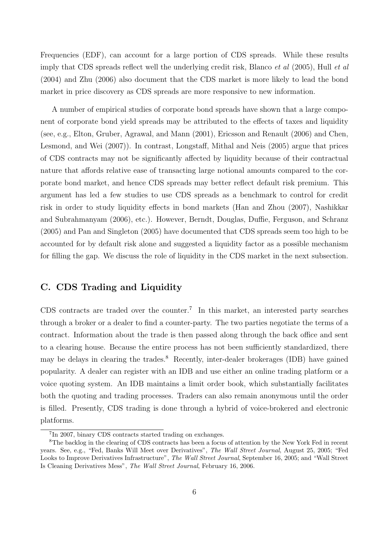Frequencies (EDF), can account for a large portion of CDS spreads. While these results imply that CDS spreads reflect well the underlying credit risk, Blanco *et al* (2005), Hull *et al* (2004) and Zhu (2006) also document that the CDS market is more likely to lead the bond market in price discovery as CDS spreads are more responsive to new information.

A number of empirical studies of corporate bond spreads have shown that a large component of corporate bond yield spreads may be attributed to the effects of taxes and liquidity (see, e.g., Elton, Gruber, Agrawal, and Mann (2001), Ericsson and Renault (2006) and Chen, Lesmond, and Wei (2007)). In contrast, Longstaff, Mithal and Neis (2005) argue that prices of CDS contracts may not be significantly affected by liquidity because of their contractual nature that affords relative ease of transacting large notional amounts compared to the corporate bond market, and hence CDS spreads may better reflect default risk premium. This argument has led a few studies to use CDS spreads as a benchmark to control for credit risk in order to study liquidity effects in bond markets (Han and Zhou (2007), Nashikkar and Subrahmanyam (2006), etc.). However, Berndt, Douglas, Duffie, Ferguson, and Schranz (2005) and Pan and Singleton (2005) have documented that CDS spreads seem too high to be accounted for by default risk alone and suggested a liquidity factor as a possible mechanism for filling the gap. We discuss the role of liquidity in the CDS market in the next subsection.

### C. CDS Trading and Liquidity

CDS contracts are traded over the counter.<sup>7</sup> In this market, an interested party searches through a broker or a dealer to find a counter-party. The two parties negotiate the terms of a contract. Information about the trade is then passed along through the back office and sent to a clearing house. Because the entire process has not been sufficiently standardized, there may be delays in clearing the trades.<sup>8</sup> Recently, inter-dealer brokerages (IDB) have gained popularity. A dealer can register with an IDB and use either an online trading platform or a voice quoting system. An IDB maintains a limit order book, which substantially facilitates both the quoting and trading processes. Traders can also remain anonymous until the order is filled. Presently, CDS trading is done through a hybrid of voice-brokered and electronic platforms.

<sup>7</sup> In 2007, binary CDS contracts started trading on exchanges.

<sup>8</sup>The backlog in the clearing of CDS contracts has been a focus of attention by the New York Fed in recent years. See, e.g., "Fed, Banks Will Meet over Derivatives", The Wall Street Journal, August 25, 2005; "Fed Looks to Improve Derivatives Infrastructure", The Wall Street Journal, September 16, 2005; and "Wall Street Is Cleaning Derivatives Mess", The Wall Street Journal, February 16, 2006.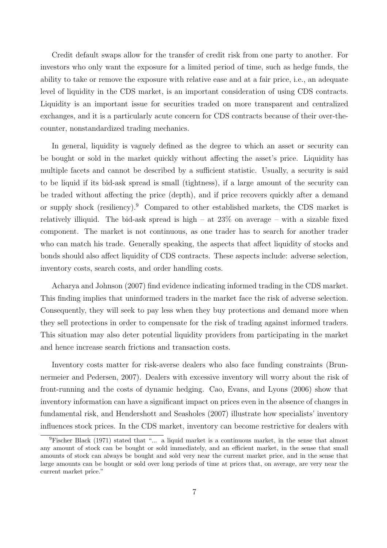Credit default swaps allow for the transfer of credit risk from one party to another. For investors who only want the exposure for a limited period of time, such as hedge funds, the ability to take or remove the exposure with relative ease and at a fair price, i.e., an adequate level of liquidity in the CDS market, is an important consideration of using CDS contracts. Liquidity is an important issue for securities traded on more transparent and centralized exchanges, and it is a particularly acute concern for CDS contracts because of their over-thecounter, nonstandardized trading mechanics.

In general, liquidity is vaguely defined as the degree to which an asset or security can be bought or sold in the market quickly without affecting the asset's price. Liquidity has multiple facets and cannot be described by a sufficient statistic. Usually, a security is said to be liquid if its bid-ask spread is small (tightness), if a large amount of the security can be traded without affecting the price (depth), and if price recovers quickly after a demand or supply shock (resiliency).<sup>9</sup> Compared to other established markets, the CDS market is relatively illiquid. The bid-ask spread is high – at  $23\%$  on average – with a sizable fixed component. The market is not continuous, as one trader has to search for another trader who can match his trade. Generally speaking, the aspects that affect liquidity of stocks and bonds should also affect liquidity of CDS contracts. These aspects include: adverse selection, inventory costs, search costs, and order handling costs.

Acharya and Johnson (2007) find evidence indicating informed trading in the CDS market. This finding implies that uninformed traders in the market face the risk of adverse selection. Consequently, they will seek to pay less when they buy protections and demand more when they sell protections in order to compensate for the risk of trading against informed traders. This situation may also deter potential liquidity providers from participating in the market and hence increase search frictions and transaction costs.

Inventory costs matter for risk-averse dealers who also face funding constraints (Brunnermeier and Pedersen, 2007). Dealers with excessive inventory will worry about the risk of front-running and the costs of dynamic hedging. Cao, Evans, and Lyons (2006) show that inventory information can have a significant impact on prices even in the absence of changes in fundamental risk, and Hendershott and Seasholes (2007) illustrate how specialists' inventory influences stock prices. In the CDS market, inventory can become restrictive for dealers with

<sup>&</sup>lt;sup>9</sup>Fischer Black (1971) stated that "... a liquid market is a continuous market, in the sense that almost any amount of stock can be bought or sold immediately, and an efficient market, in the sense that small amounts of stock can always be bought and sold very near the current market price, and in the sense that large amounts can be bought or sold over long periods of time at prices that, on average, are very near the current market price."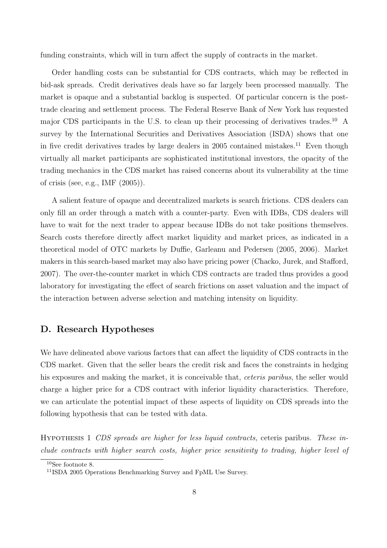funding constraints, which will in turn affect the supply of contracts in the market.

Order handling costs can be substantial for CDS contracts, which may be reflected in bid-ask spreads. Credit derivatives deals have so far largely been processed manually. The market is opaque and a substantial backlog is suspected. Of particular concern is the posttrade clearing and settlement process. The Federal Reserve Bank of New York has requested major CDS participants in the U.S. to clean up their processing of derivatives trades.<sup>10</sup> A survey by the International Securities and Derivatives Association (ISDA) shows that one in five credit derivatives trades by large dealers in 2005 contained mistakes.<sup>11</sup> Even though virtually all market participants are sophisticated institutional investors, the opacity of the trading mechanics in the CDS market has raised concerns about its vulnerability at the time of crisis (see, e.g., IMF (2005)).

A salient feature of opaque and decentralized markets is search frictions. CDS dealers can only fill an order through a match with a counter-party. Even with IDBs, CDS dealers will have to wait for the next trader to appear because IDBs do not take positions themselves. Search costs therefore directly affect market liquidity and market prices, as indicated in a theoretical model of OTC markets by Duffie, Garleanu and Pedersen (2005, 2006). Market makers in this search-based market may also have pricing power (Chacko, Jurek, and Stafford, 2007). The over-the-counter market in which CDS contracts are traded thus provides a good laboratory for investigating the effect of search frictions on asset valuation and the impact of the interaction between adverse selection and matching intensity on liquidity.

#### D. Research Hypotheses

We have delineated above various factors that can affect the liquidity of CDS contracts in the CDS market. Given that the seller bears the credit risk and faces the constraints in hedging his exposures and making the market, it is conceivable that, *ceteris paribus*, the seller would charge a higher price for a CDS contract with inferior liquidity characteristics. Therefore, we can articulate the potential impact of these aspects of liquidity on CDS spreads into the following hypothesis that can be tested with data.

Hypothesis 1 CDS spreads are higher for less liquid contracts, ceteris paribus. These include contracts with higher search costs, higher price sensitivity to trading, higher level of

 $10$ See footnote 8.

<sup>&</sup>lt;sup>11</sup>ISDA 2005 Operations Benchmarking Survey and FpML Use Survey.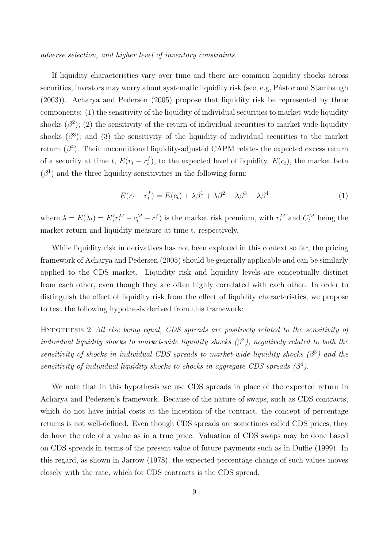adverse selection, and higher level of inventory constraints.

If liquidity characteristics vary over time and there are common liquidity shocks across securities, investors may worry about systematic liquidity risk (see, e.g, Pástor and Stambaugh (2003)). Acharya and Pedersen (2005) propose that liquidity risk be represented by three components: (1) the sensitivity of the liquidity of individual securities to market-wide liquidity shocks  $(\beta^2)$ ; (2) the sensitivity of the return of individual securities to market-wide liquidity shocks  $(\beta^3)$ ; and (3) the sensitivity of the liquidity of individual securities to the market return  $(\beta^4)$ . Their unconditional liquidity-adjusted CAPM relates the expected excess return of a security at time t,  $E(r_t - r_t^f)$  $_{t}^{t}$ ), to the expected level of liquidity,  $E(c_{t})$ , the market beta  $(\beta^1)$  and the three liquidity sensitivities in the following form:

$$
E(r_t - r_t^f) = E(c_t) + \lambda \beta^1 + \lambda \beta^2 - \lambda \beta^3 - \lambda \beta^4
$$
\n(1)

where  $\lambda = E(\lambda_t) = E(r_t^M - c_t^M - r^f)$  is the market risk premium, with  $r_t^M$  and  $C_t^M$  being the market return and liquidity measure at time t, respectively.

While liquidity risk in derivatives has not been explored in this context so far, the pricing framework of Acharya and Pedersen (2005) should be generally applicable and can be similarly applied to the CDS market. Liquidity risk and liquidity levels are conceptually distinct from each other, even though they are often highly correlated with each other. In order to distinguish the effect of liquidity risk from the effect of liquidity characteristics, we propose to test the following hypothesis derived from this framework:

Hypothesis 2 All else being equal, CDS spreads are positively related to the sensitivity of individual liquidity shocks to market-wide liquidity shocks  $(\beta^2)$ , negatively related to both the sensitivity of shocks in individual CDS spreads to market-wide liquidity shocks  $(\beta^3)$  and the sensitivity of individual liquidity shocks to shocks in aggregate CDS spreads  $(\beta^4)$ .

We note that in this hypothesis we use CDS spreads in place of the expected return in Acharya and Pedersen's framework. Because of the nature of swaps, such as CDS contracts, which do not have initial costs at the inception of the contract, the concept of percentage returns is not well-defined. Even though CDS spreads are sometimes called CDS prices, they do have the role of a value as in a true price. Valuation of CDS swaps may be done based on CDS spreads in terms of the present value of future payments such as in Duffie (1999). In this regard, as shown in Jarrow (1978), the expected percentage change of such values moves closely with the rate, which for CDS contracts is the CDS spread.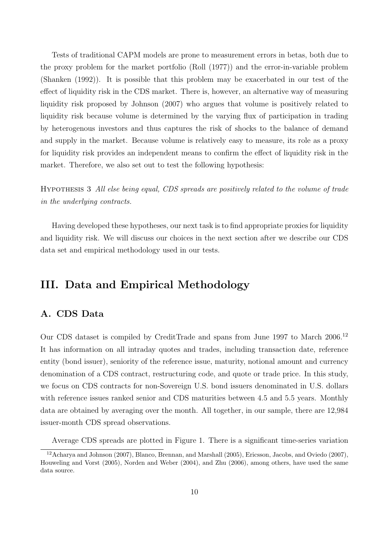Tests of traditional CAPM models are prone to measurement errors in betas, both due to the proxy problem for the market portfolio (Roll (1977)) and the error-in-variable problem (Shanken (1992)). It is possible that this problem may be exacerbated in our test of the effect of liquidity risk in the CDS market. There is, however, an alternative way of measuring liquidity risk proposed by Johnson (2007) who argues that volume is positively related to liquidity risk because volume is determined by the varying flux of participation in trading by heterogenous investors and thus captures the risk of shocks to the balance of demand and supply in the market. Because volume is relatively easy to measure, its role as a proxy for liquidity risk provides an independent means to confirm the effect of liquidity risk in the market. Therefore, we also set out to test the following hypothesis:

Hypothesis 3 All else being equal, CDS spreads are positively related to the volume of trade in the underlying contracts.

Having developed these hypotheses, our next task is to find appropriate proxies for liquidity and liquidity risk. We will discuss our choices in the next section after we describe our CDS data set and empirical methodology used in our tests.

# III. Data and Empirical Methodology

### A. CDS Data

Our CDS dataset is compiled by CreditTrade and spans from June 1997 to March 2006.<sup>12</sup> It has information on all intraday quotes and trades, including transaction date, reference entity (bond issuer), seniority of the reference issue, maturity, notional amount and currency denomination of a CDS contract, restructuring code, and quote or trade price. In this study, we focus on CDS contracts for non-Sovereign U.S. bond issuers denominated in U.S. dollars with reference issues ranked senior and CDS maturities between 4.5 and 5.5 years. Monthly data are obtained by averaging over the month. All together, in our sample, there are 12,984 issuer-month CDS spread observations.

Average CDS spreads are plotted in Figure 1. There is a significant time-series variation

<sup>12</sup>Acharya and Johnson (2007), Blanco, Brennan, and Marshall (2005), Ericsson, Jacobs, and Oviedo (2007), Houweling and Vorst (2005), Norden and Weber (2004), and Zhu (2006), among others, have used the same data source.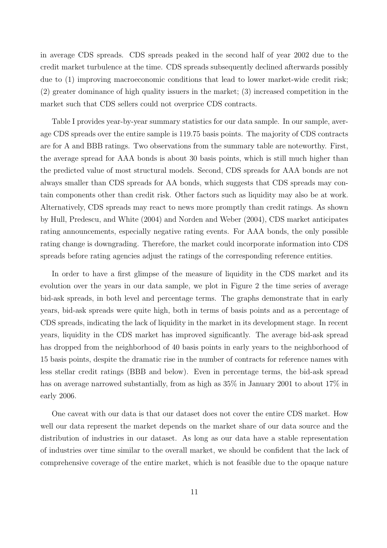in average CDS spreads. CDS spreads peaked in the second half of year 2002 due to the credit market turbulence at the time. CDS spreads subsequently declined afterwards possibly due to (1) improving macroeconomic conditions that lead to lower market-wide credit risk; (2) greater dominance of high quality issuers in the market; (3) increased competition in the market such that CDS sellers could not overprice CDS contracts.

Table I provides year-by-year summary statistics for our data sample. In our sample, average CDS spreads over the entire sample is 119.75 basis points. The majority of CDS contracts are for A and BBB ratings. Two observations from the summary table are noteworthy. First, the average spread for AAA bonds is about 30 basis points, which is still much higher than the predicted value of most structural models. Second, CDS spreads for AAA bonds are not always smaller than CDS spreads for AA bonds, which suggests that CDS spreads may contain components other than credit risk. Other factors such as liquidity may also be at work. Alternatively, CDS spreads may react to news more promptly than credit ratings. As shown by Hull, Predescu, and White (2004) and Norden and Weber (2004), CDS market anticipates rating announcements, especially negative rating events. For AAA bonds, the only possible rating change is downgrading. Therefore, the market could incorporate information into CDS spreads before rating agencies adjust the ratings of the corresponding reference entities.

In order to have a first glimpse of the measure of liquidity in the CDS market and its evolution over the years in our data sample, we plot in Figure 2 the time series of average bid-ask spreads, in both level and percentage terms. The graphs demonstrate that in early years, bid-ask spreads were quite high, both in terms of basis points and as a percentage of CDS spreads, indicating the lack of liquidity in the market in its development stage. In recent years, liquidity in the CDS market has improved significantly. The average bid-ask spread has dropped from the neighborhood of 40 basis points in early years to the neighborhood of 15 basis points, despite the dramatic rise in the number of contracts for reference names with less stellar credit ratings (BBB and below). Even in percentage terms, the bid-ask spread has on average narrowed substantially, from as high as 35% in January 2001 to about 17% in early 2006.

One caveat with our data is that our dataset does not cover the entire CDS market. How well our data represent the market depends on the market share of our data source and the distribution of industries in our dataset. As long as our data have a stable representation of industries over time similar to the overall market, we should be confident that the lack of comprehensive coverage of the entire market, which is not feasible due to the opaque nature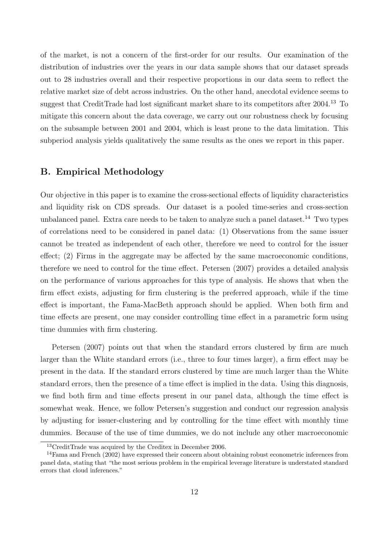of the market, is not a concern of the first-order for our results. Our examination of the distribution of industries over the years in our data sample shows that our dataset spreads out to 28 industries overall and their respective proportions in our data seem to reflect the relative market size of debt across industries. On the other hand, anecdotal evidence seems to suggest that CreditTrade had lost significant market share to its competitors after 2004.<sup>13</sup> To mitigate this concern about the data coverage, we carry out our robustness check by focusing on the subsample between 2001 and 2004, which is least prone to the data limitation. This subperiod analysis yields qualitatively the same results as the ones we report in this paper.

### B. Empirical Methodology

Our objective in this paper is to examine the cross-sectional effects of liquidity characteristics and liquidity risk on CDS spreads. Our dataset is a pooled time-series and cross-section unbalanced panel. Extra care needs to be taken to analyze such a panel dataset.<sup>14</sup> Two types of correlations need to be considered in panel data: (1) Observations from the same issuer cannot be treated as independent of each other, therefore we need to control for the issuer effect; (2) Firms in the aggregate may be affected by the same macroeconomic conditions, therefore we need to control for the time effect. Petersen (2007) provides a detailed analysis on the performance of various approaches for this type of analysis. He shows that when the firm effect exists, adjusting for firm clustering is the preferred approach, while if the time effect is important, the Fama-MacBeth approach should be applied. When both firm and time effects are present, one may consider controlling time effect in a parametric form using time dummies with firm clustering.

Petersen (2007) points out that when the standard errors clustered by firm are much larger than the White standard errors (i.e., three to four times larger), a firm effect may be present in the data. If the standard errors clustered by time are much larger than the White standard errors, then the presence of a time effect is implied in the data. Using this diagnosis, we find both firm and time effects present in our panel data, although the time effect is somewhat weak. Hence, we follow Petersen's suggestion and conduct our regression analysis by adjusting for issuer-clustering and by controlling for the time effect with monthly time dummies. Because of the use of time dummies, we do not include any other macroeconomic

<sup>13</sup>CreditTrade was acquired by the Creditex in December 2006.

<sup>14</sup>Fama and French (2002) have expressed their concern about obtaining robust econometric inferences from panel data, stating that "the most serious problem in the empirical leverage literature is understated standard errors that cloud inferences."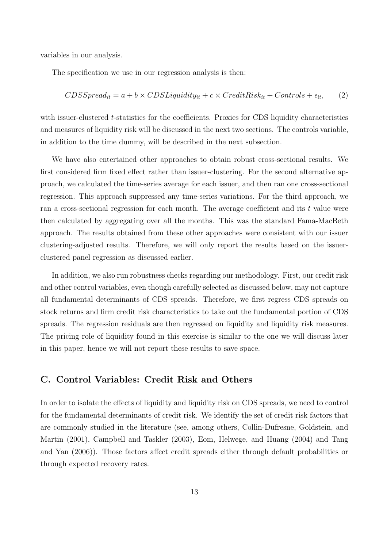variables in our analysis.

The specification we use in our regression analysis is then:

$$
CDS Spread_{it} = a + b \times CDSLiquidity_{it} + c \times CreditRisk_{it} + Controls + \epsilon_{it}, \qquad (2)
$$

with issuer-clustered t-statistics for the coefficients. Proxies for CDS liquidity characteristics and measures of liquidity risk will be discussed in the next two sections. The controls variable, in addition to the time dummy, will be described in the next subsection.

We have also entertained other approaches to obtain robust cross-sectional results. We first considered firm fixed effect rather than issuer-clustering. For the second alternative approach, we calculated the time-series average for each issuer, and then ran one cross-sectional regression. This approach suppressed any time-series variations. For the third approach, we ran a cross-sectional regression for each month. The average coefficient and its  $t$  value were then calculated by aggregating over all the months. This was the standard Fama-MacBeth approach. The results obtained from these other approaches were consistent with our issuer clustering-adjusted results. Therefore, we will only report the results based on the issuerclustered panel regression as discussed earlier.

In addition, we also run robustness checks regarding our methodology. First, our credit risk and other control variables, even though carefully selected as discussed below, may not capture all fundamental determinants of CDS spreads. Therefore, we first regress CDS spreads on stock returns and firm credit risk characteristics to take out the fundamental portion of CDS spreads. The regression residuals are then regressed on liquidity and liquidity risk measures. The pricing role of liquidity found in this exercise is similar to the one we will discuss later in this paper, hence we will not report these results to save space.

### C. Control Variables: Credit Risk and Others

In order to isolate the effects of liquidity and liquidity risk on CDS spreads, we need to control for the fundamental determinants of credit risk. We identify the set of credit risk factors that are commonly studied in the literature (see, among others, Collin-Dufresne, Goldstein, and Martin (2001), Campbell and Taskler (2003), Eom, Helwege, and Huang (2004) and Tang and Yan (2006)). Those factors affect credit spreads either through default probabilities or through expected recovery rates.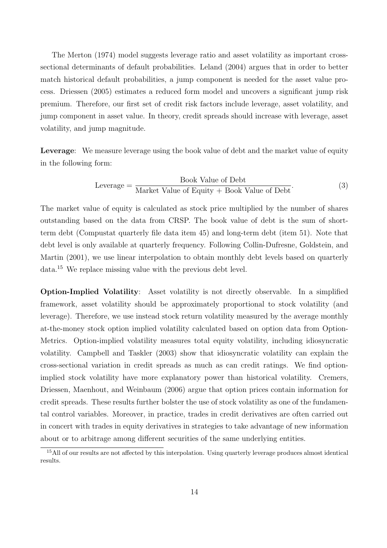The Merton (1974) model suggests leverage ratio and asset volatility as important crosssectional determinants of default probabilities. Leland (2004) argues that in order to better match historical default probabilities, a jump component is needed for the asset value process. Driessen (2005) estimates a reduced form model and uncovers a significant jump risk premium. Therefore, our first set of credit risk factors include leverage, asset volatility, and jump component in asset value. In theory, credit spreads should increase with leverage, asset volatility, and jump magnitude.

Leverage: We measure leverage using the book value of debt and the market value of equity in the following form:

$$
Leverage = \frac{Book Value of Debt}{Market Value of Equity + Book Value of Debt}.
$$
\n(3)

The market value of equity is calculated as stock price multiplied by the number of shares outstanding based on the data from CRSP. The book value of debt is the sum of shortterm debt (Compustat quarterly file data item 45) and long-term debt (item 51). Note that debt level is only available at quarterly frequency. Following Collin-Dufresne, Goldstein, and Martin (2001), we use linear interpolation to obtain monthly debt levels based on quarterly data.<sup>15</sup> We replace missing value with the previous debt level.

Option-Implied Volatility: Asset volatility is not directly observable. In a simplified framework, asset volatility should be approximately proportional to stock volatility (and leverage). Therefore, we use instead stock return volatility measured by the average monthly at-the-money stock option implied volatility calculated based on option data from Option-Metrics. Option-implied volatility measures total equity volatility, including idiosyncratic volatility. Campbell and Taskler (2003) show that idiosyncratic volatility can explain the cross-sectional variation in credit spreads as much as can credit ratings. We find optionimplied stock volatility have more explanatory power than historical volatility. Cremers, Driessen, Maenhout, and Weinbaum (2006) argue that option prices contain information for credit spreads. These results further bolster the use of stock volatility as one of the fundamental control variables. Moreover, in practice, trades in credit derivatives are often carried out in concert with trades in equity derivatives in strategies to take advantage of new information about or to arbitrage among different securities of the same underlying entities.

<sup>&</sup>lt;sup>15</sup>All of our results are not affected by this interpolation. Using quarterly leverage produces almost identical results.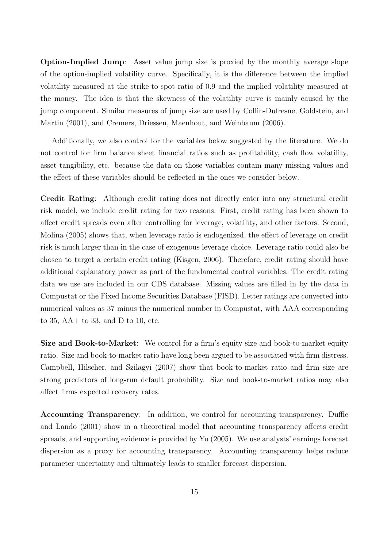Option-Implied Jump: Asset value jump size is proxied by the monthly average slope of the option-implied volatility curve. Specifically, it is the difference between the implied volatility measured at the strike-to-spot ratio of 0.9 and the implied volatility measured at the money. The idea is that the skewness of the volatility curve is mainly caused by the jump component. Similar measures of jump size are used by Collin-Dufresne, Goldstein, and Martin (2001), and Cremers, Driessen, Maenhout, and Weinbaum (2006).

Additionally, we also control for the variables below suggested by the literature. We do not control for firm balance sheet financial ratios such as profitability, cash flow volatility, asset tangibility, etc. because the data on those variables contain many missing values and the effect of these variables should be reflected in the ones we consider below.

Credit Rating: Although credit rating does not directly enter into any structural credit risk model, we include credit rating for two reasons. First, credit rating has been shown to affect credit spreads even after controlling for leverage, volatility, and other factors. Second, Molina (2005) shows that, when leverage ratio is endogenized, the effect of leverage on credit risk is much larger than in the case of exogenous leverage choice. Leverage ratio could also be chosen to target a certain credit rating (Kisgen, 2006). Therefore, credit rating should have additional explanatory power as part of the fundamental control variables. The credit rating data we use are included in our CDS database. Missing values are filled in by the data in Compustat or the Fixed Income Securities Database (FISD). Letter ratings are converted into numerical values as 37 minus the numerical number in Compustat, with AAA corresponding to 35, AA+ to 33, and D to 10, etc.

Size and Book-to-Market: We control for a firm's equity size and book-to-market equity ratio. Size and book-to-market ratio have long been argued to be associated with firm distress. Campbell, Hilscher, and Szilagyi (2007) show that book-to-market ratio and firm size are strong predictors of long-run default probability. Size and book-to-market ratios may also affect firms expected recovery rates.

Accounting Transparency: In addition, we control for accounting transparency. Duffie and Lando (2001) show in a theoretical model that accounting transparency affects credit spreads, and supporting evidence is provided by Yu (2005). We use analysts' earnings forecast dispersion as a proxy for accounting transparency. Accounting transparency helps reduce parameter uncertainty and ultimately leads to smaller forecast dispersion.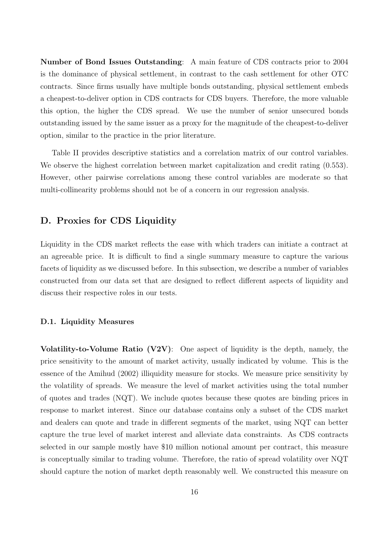Number of Bond Issues Outstanding: A main feature of CDS contracts prior to 2004 is the dominance of physical settlement, in contrast to the cash settlement for other OTC contracts. Since firms usually have multiple bonds outstanding, physical settlement embeds a cheapest-to-deliver option in CDS contracts for CDS buyers. Therefore, the more valuable this option, the higher the CDS spread. We use the number of senior unsecured bonds outstanding issued by the same issuer as a proxy for the magnitude of the cheapest-to-deliver option, similar to the practice in the prior literature.

Table II provides descriptive statistics and a correlation matrix of our control variables. We observe the highest correlation between market capitalization and credit rating  $(0.553)$ . However, other pairwise correlations among these control variables are moderate so that multi-collinearity problems should not be of a concern in our regression analysis.

### D. Proxies for CDS Liquidity

Liquidity in the CDS market reflects the ease with which traders can initiate a contract at an agreeable price. It is difficult to find a single summary measure to capture the various facets of liquidity as we discussed before. In this subsection, we describe a number of variables constructed from our data set that are designed to reflect different aspects of liquidity and discuss their respective roles in our tests.

#### D.1. Liquidity Measures

Volatility-to-Volume Ratio  $(V2V)$ : One aspect of liquidity is the depth, namely, the price sensitivity to the amount of market activity, usually indicated by volume. This is the essence of the Amihud (2002) illiquidity measure for stocks. We measure price sensitivity by the volatility of spreads. We measure the level of market activities using the total number of quotes and trades (NQT). We include quotes because these quotes are binding prices in response to market interest. Since our database contains only a subset of the CDS market and dealers can quote and trade in different segments of the market, using NQT can better capture the true level of market interest and alleviate data constraints. As CDS contracts selected in our sample mostly have \$10 million notional amount per contract, this measure is conceptually similar to trading volume. Therefore, the ratio of spread volatility over NQT should capture the notion of market depth reasonably well. We constructed this measure on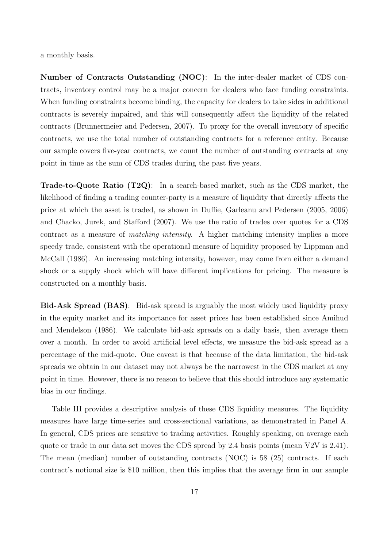a monthly basis.

Number of Contracts Outstanding (NOC): In the inter-dealer market of CDS contracts, inventory control may be a major concern for dealers who face funding constraints. When funding constraints become binding, the capacity for dealers to take sides in additional contracts is severely impaired, and this will consequently affect the liquidity of the related contracts (Brunnermeier and Pedersen, 2007). To proxy for the overall inventory of specific contracts, we use the total number of outstanding contracts for a reference entity. Because our sample covers five-year contracts, we count the number of outstanding contracts at any point in time as the sum of CDS trades during the past five years.

Trade-to-Quote Ratio (T2Q): In a search-based market, such as the CDS market, the likelihood of finding a trading counter-party is a measure of liquidity that directly affects the price at which the asset is traded, as shown in Duffie, Garleanu and Pedersen (2005, 2006) and Chacko, Jurek, and Stafford (2007). We use the ratio of trades over quotes for a CDS contract as a measure of matching intensity. A higher matching intensity implies a more speedy trade, consistent with the operational measure of liquidity proposed by Lippman and McCall (1986). An increasing matching intensity, however, may come from either a demand shock or a supply shock which will have different implications for pricing. The measure is constructed on a monthly basis.

Bid-Ask Spread (BAS): Bid-ask spread is arguably the most widely used liquidity proxy in the equity market and its importance for asset prices has been established since Amihud and Mendelson (1986). We calculate bid-ask spreads on a daily basis, then average them over a month. In order to avoid artificial level effects, we measure the bid-ask spread as a percentage of the mid-quote. One caveat is that because of the data limitation, the bid-ask spreads we obtain in our dataset may not always be the narrowest in the CDS market at any point in time. However, there is no reason to believe that this should introduce any systematic bias in our findings.

Table III provides a descriptive analysis of these CDS liquidity measures. The liquidity measures have large time-series and cross-sectional variations, as demonstrated in Panel A. In general, CDS prices are sensitive to trading activities. Roughly speaking, on average each quote or trade in our data set moves the CDS spread by 2.4 basis points (mean V2V is 2.41). The mean (median) number of outstanding contracts (NOC) is 58 (25) contracts. If each contract's notional size is \$10 million, then this implies that the average firm in our sample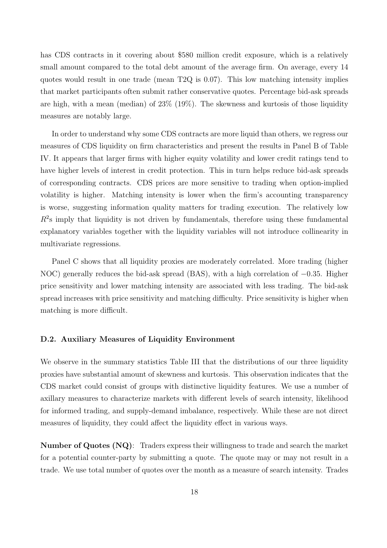has CDS contracts in it covering about \$580 million credit exposure, which is a relatively small amount compared to the total debt amount of the average firm. On average, every 14 quotes would result in one trade (mean T2Q is 0.07). This low matching intensity implies that market participants often submit rather conservative quotes. Percentage bid-ask spreads are high, with a mean (median) of 23% (19%). The skewness and kurtosis of those liquidity measures are notably large.

In order to understand why some CDS contracts are more liquid than others, we regress our measures of CDS liquidity on firm characteristics and present the results in Panel B of Table IV. It appears that larger firms with higher equity volatility and lower credit ratings tend to have higher levels of interest in credit protection. This in turn helps reduce bid-ask spreads of corresponding contracts. CDS prices are more sensitive to trading when option-implied volatility is higher. Matching intensity is lower when the firm's accounting transparency is worse, suggesting information quality matters for trading execution. The relatively low  $R<sup>2</sup>$ s imply that liquidity is not driven by fundamentals, therefore using these fundamental explanatory variables together with the liquidity variables will not introduce collinearity in multivariate regressions.

Panel C shows that all liquidity proxies are moderately correlated. More trading (higher NOC) generally reduces the bid-ask spread (BAS), with a high correlation of −0.35. Higher price sensitivity and lower matching intensity are associated with less trading. The bid-ask spread increases with price sensitivity and matching difficulty. Price sensitivity is higher when matching is more difficult.

#### D.2. Auxiliary Measures of Liquidity Environment

We observe in the summary statistics Table III that the distributions of our three liquidity proxies have substantial amount of skewness and kurtosis. This observation indicates that the CDS market could consist of groups with distinctive liquidity features. We use a number of axillary measures to characterize markets with different levels of search intensity, likelihood for informed trading, and supply-demand imbalance, respectively. While these are not direct measures of liquidity, they could affect the liquidity effect in various ways.

Number of Quotes (NQ): Traders express their willingness to trade and search the market for a potential counter-party by submitting a quote. The quote may or may not result in a trade. We use total number of quotes over the month as a measure of search intensity. Trades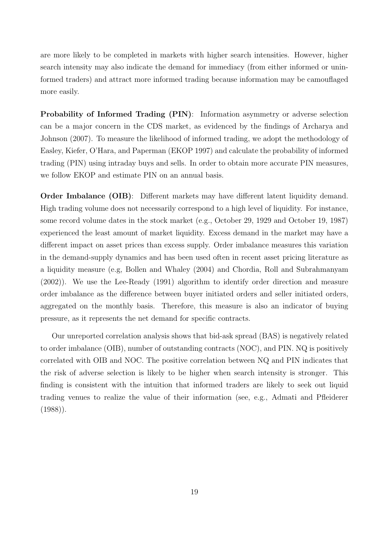are more likely to be completed in markets with higher search intensities. However, higher search intensity may also indicate the demand for immediacy (from either informed or uninformed traders) and attract more informed trading because information may be camouflaged more easily.

Probability of Informed Trading (PIN): Information asymmetry or adverse selection can be a major concern in the CDS market, as evidenced by the findings of Archarya and Johnson (2007). To measure the likelihood of informed trading, we adopt the methodology of Easley, Kiefer, O'Hara, and Paperman (EKOP 1997) and calculate the probability of informed trading (PIN) using intraday buys and sells. In order to obtain more accurate PIN measures, we follow EKOP and estimate PIN on an annual basis.

Order Imbalance (OIB): Different markets may have different latent liquidity demand. High trading volume does not necessarily correspond to a high level of liquidity. For instance, some record volume dates in the stock market (e.g., October 29, 1929 and October 19, 1987) experienced the least amount of market liquidity. Excess demand in the market may have a different impact on asset prices than excess supply. Order imbalance measures this variation in the demand-supply dynamics and has been used often in recent asset pricing literature as a liquidity measure (e.g, Bollen and Whaley (2004) and Chordia, Roll and Subrahmanyam (2002)). We use the Lee-Ready (1991) algorithm to identify order direction and measure order imbalance as the difference between buyer initiated orders and seller initiated orders, aggregated on the monthly basis. Therefore, this measure is also an indicator of buying pressure, as it represents the net demand for specific contracts.

Our unreported correlation analysis shows that bid-ask spread (BAS) is negatively related to order imbalance (OIB), number of outstanding contracts (NOC), and PIN. NQ is positively correlated with OIB and NOC. The positive correlation between NQ and PIN indicates that the risk of adverse selection is likely to be higher when search intensity is stronger. This finding is consistent with the intuition that informed traders are likely to seek out liquid trading venues to realize the value of their information (see, e.g., Admati and Pfleiderer  $(1988)$ .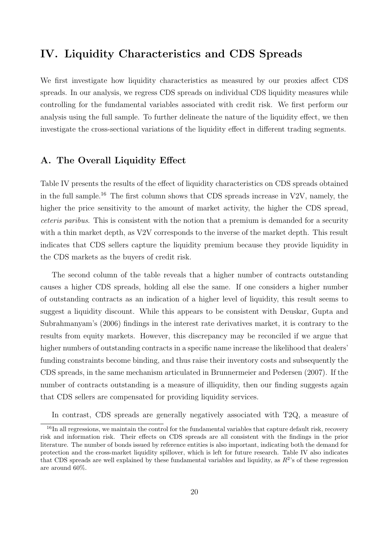# IV. Liquidity Characteristics and CDS Spreads

We first investigate how liquidity characteristics as measured by our proxies affect CDS spreads. In our analysis, we regress CDS spreads on individual CDS liquidity measures while controlling for the fundamental variables associated with credit risk. We first perform our analysis using the full sample. To further delineate the nature of the liquidity effect, we then investigate the cross-sectional variations of the liquidity effect in different trading segments.

#### A. The Overall Liquidity Effect

Table IV presents the results of the effect of liquidity characteristics on CDS spreads obtained in the full sample.<sup>16</sup> The first column shows that CDS spreads increase in V2V, namely, the higher the price sensitivity to the amount of market activity, the higher the CDS spread, ceteris paribus. This is consistent with the notion that a premium is demanded for a security with a thin market depth, as V2V corresponds to the inverse of the market depth. This result indicates that CDS sellers capture the liquidity premium because they provide liquidity in the CDS markets as the buyers of credit risk.

The second column of the table reveals that a higher number of contracts outstanding causes a higher CDS spreads, holding all else the same. If one considers a higher number of outstanding contracts as an indication of a higher level of liquidity, this result seems to suggest a liquidity discount. While this appears to be consistent with Deuskar, Gupta and Subrahmanyam's (2006) findings in the interest rate derivatives market, it is contrary to the results from equity markets. However, this discrepancy may be reconciled if we argue that higher numbers of outstanding contracts in a specific name increase the likelihood that dealers' funding constraints become binding, and thus raise their inventory costs and subsequently the CDS spreads, in the same mechanism articulated in Brunnermeier and Pedersen (2007). If the number of contracts outstanding is a measure of illiquidity, then our finding suggests again that CDS sellers are compensated for providing liquidity services.

In contrast, CDS spreads are generally negatively associated with T2Q, a measure of

<sup>&</sup>lt;sup>16</sup>In all regressions, we maintain the control for the fundamental variables that capture default risk, recovery risk and information risk. Their effects on CDS spreads are all consistent with the findings in the prior literature. The number of bonds issued by reference entities is also important, indicating both the demand for protection and the cross-market liquidity spillover, which is left for future research. Table IV also indicates that CDS spreads are well explained by these fundamental variables and liquidity, as  $R^2$ 's of these regression are around 60%.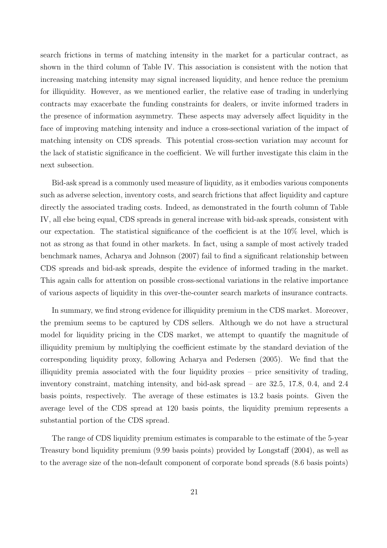search frictions in terms of matching intensity in the market for a particular contract, as shown in the third column of Table IV. This association is consistent with the notion that increasing matching intensity may signal increased liquidity, and hence reduce the premium for illiquidity. However, as we mentioned earlier, the relative ease of trading in underlying contracts may exacerbate the funding constraints for dealers, or invite informed traders in the presence of information asymmetry. These aspects may adversely affect liquidity in the face of improving matching intensity and induce a cross-sectional variation of the impact of matching intensity on CDS spreads. This potential cross-section variation may account for the lack of statistic significance in the coefficient. We will further investigate this claim in the next subsection.

Bid-ask spread is a commonly used measure of liquidity, as it embodies various components such as adverse selection, inventory costs, and search frictions that affect liquidity and capture directly the associated trading costs. Indeed, as demonstrated in the fourth column of Table IV, all else being equal, CDS spreads in general increase with bid-ask spreads, consistent with our expectation. The statistical significance of the coefficient is at the 10% level, which is not as strong as that found in other markets. In fact, using a sample of most actively traded benchmark names, Acharya and Johnson (2007) fail to find a significant relationship between CDS spreads and bid-ask spreads, despite the evidence of informed trading in the market. This again calls for attention on possible cross-sectional variations in the relative importance of various aspects of liquidity in this over-the-counter search markets of insurance contracts.

In summary, we find strong evidence for illiquidity premium in the CDS market. Moreover, the premium seems to be captured by CDS sellers. Although we do not have a structural model for liquidity pricing in the CDS market, we attempt to quantify the magnitude of illiquidity premium by multiplying the coefficient estimate by the standard deviation of the corresponding liquidity proxy, following Acharya and Pedersen (2005). We find that the illiquidity premia associated with the four liquidity proxies – price sensitivity of trading, inventory constraint, matching intensity, and bid-ask spread – are 32.5, 17.8, 0.4, and 2.4 basis points, respectively. The average of these estimates is 13.2 basis points. Given the average level of the CDS spread at 120 basis points, the liquidity premium represents a substantial portion of the CDS spread.

The range of CDS liquidity premium estimates is comparable to the estimate of the 5-year Treasury bond liquidity premium (9.99 basis points) provided by Longstaff (2004), as well as to the average size of the non-default component of corporate bond spreads (8.6 basis points)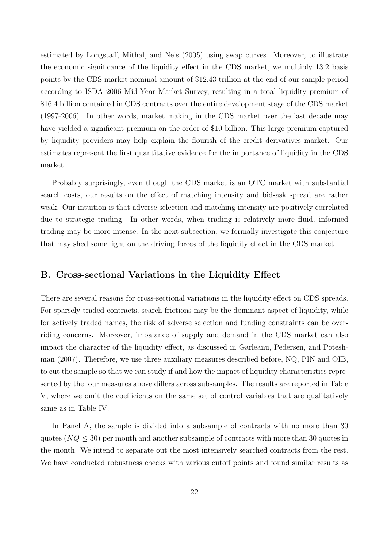estimated by Longstaff, Mithal, and Neis (2005) using swap curves. Moreover, to illustrate the economic significance of the liquidity effect in the CDS market, we multiply 13.2 basis points by the CDS market nominal amount of \$12.43 trillion at the end of our sample period according to ISDA 2006 Mid-Year Market Survey, resulting in a total liquidity premium of \$16.4 billion contained in CDS contracts over the entire development stage of the CDS market (1997-2006). In other words, market making in the CDS market over the last decade may have yielded a significant premium on the order of \$10 billion. This large premium captured by liquidity providers may help explain the flourish of the credit derivatives market. Our estimates represent the first quantitative evidence for the importance of liquidity in the CDS market.

Probably surprisingly, even though the CDS market is an OTC market with substantial search costs, our results on the effect of matching intensity and bid-ask spread are rather weak. Our intuition is that adverse selection and matching intensity are positively correlated due to strategic trading. In other words, when trading is relatively more fluid, informed trading may be more intense. In the next subsection, we formally investigate this conjecture that may shed some light on the driving forces of the liquidity effect in the CDS market.

#### B. Cross-sectional Variations in the Liquidity Effect

There are several reasons for cross-sectional variations in the liquidity effect on CDS spreads. For sparsely traded contracts, search frictions may be the dominant aspect of liquidity, while for actively traded names, the risk of adverse selection and funding constraints can be overriding concerns. Moreover, imbalance of supply and demand in the CDS market can also impact the character of the liquidity effect, as discussed in Garleanu, Pedersen, and Poteshman (2007). Therefore, we use three auxiliary measures described before, NQ, PIN and OIB, to cut the sample so that we can study if and how the impact of liquidity characteristics represented by the four measures above differs across subsamples. The results are reported in Table V, where we omit the coefficients on the same set of control variables that are qualitatively same as in Table IV.

In Panel A, the sample is divided into a subsample of contracts with no more than 30 quotes ( $NQ \leq 30$ ) per month and another subsample of contracts with more than 30 quotes in the month. We intend to separate out the most intensively searched contracts from the rest. We have conducted robustness checks with various cutoff points and found similar results as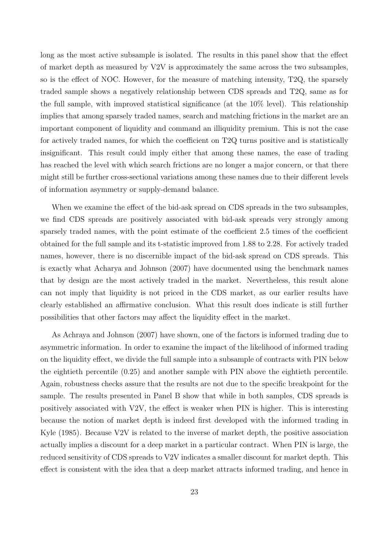long as the most active subsample is isolated. The results in this panel show that the effect of market depth as measured by V2V is approximately the same across the two subsamples, so is the effect of NOC. However, for the measure of matching intensity, T2Q, the sparsely traded sample shows a negatively relationship between CDS spreads and T2Q, same as for the full sample, with improved statistical significance (at the 10% level). This relationship implies that among sparsely traded names, search and matching frictions in the market are an important component of liquidity and command an illiquidity premium. This is not the case for actively traded names, for which the coefficient on T2Q turns positive and is statistically insignificant. This result could imply either that among these names, the ease of trading has reached the level with which search frictions are no longer a major concern, or that there might still be further cross-sectional variations among these names due to their different levels of information asymmetry or supply-demand balance.

When we examine the effect of the bid-ask spread on CDS spreads in the two subsamples, we find CDS spreads are positively associated with bid-ask spreads very strongly among sparsely traded names, with the point estimate of the coefficient 2.5 times of the coefficient obtained for the full sample and its t-statistic improved from 1.88 to 2.28. For actively traded names, however, there is no discernible impact of the bid-ask spread on CDS spreads. This is exactly what Acharya and Johnson (2007) have documented using the benchmark names that by design are the most actively traded in the market. Nevertheless, this result alone can not imply that liquidity is not priced in the CDS market, as our earlier results have clearly established an affirmative conclusion. What this result does indicate is still further possibilities that other factors may affect the liquidity effect in the market.

As Achraya and Johnson (2007) have shown, one of the factors is informed trading due to asymmetric information. In order to examine the impact of the likelihood of informed trading on the liquidity effect, we divide the full sample into a subsample of contracts with PIN below the eightieth percentile (0.25) and another sample with PIN above the eightieth percentile. Again, robustness checks assure that the results are not due to the specific breakpoint for the sample. The results presented in Panel B show that while in both samples, CDS spreads is positively associated with V2V, the effect is weaker when PIN is higher. This is interesting because the notion of market depth is indeed first developed with the informed trading in Kyle (1985). Because V2V is related to the inverse of market depth, the positive association actually implies a discount for a deep market in a particular contract. When PIN is large, the reduced sensitivity of CDS spreads to V2V indicates a smaller discount for market depth. This effect is consistent with the idea that a deep market attracts informed trading, and hence in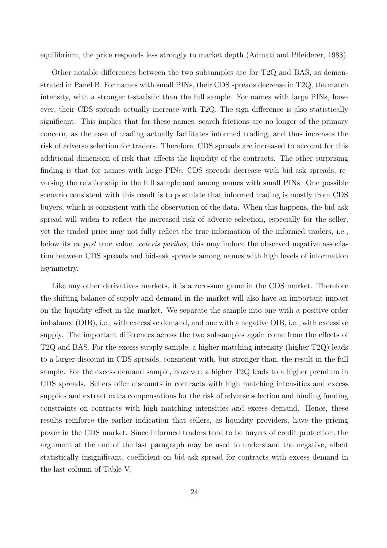equilibrium, the price responds less strongly to market depth (Admati and Pfleiderer, 1988).

Other notable differences between the two subsamples are for T2Q and BAS, as demonstrated in Panel B. For names with small PINs, their CDS spreads decrease in T2Q, the match intensity, with a stronger t-statistic than the full sample. For names with large PINs, however, their CDS spreads actually increase with T2Q. The sign difference is also statistically significant. This implies that for these names, search frictions are no longer of the primary concern, as the ease of trading actually facilitates informed trading, and thus increases the risk of adverse selection for traders. Therefore, CDS spreads are increased to account for this additional dimension of risk that affects the liquidity of the contracts. The other surprising finding is that for names with large PINs, CDS spreads decrease with bid-ask spreads, reversing the relationship in the full sample and among names with small PINs. One possible scenario consistent with this result is to postulate that informed trading is mostly from CDS buyers, which is consistent with the observation of the data. When this happens, the bid-ask spread will widen to reflect the increased risk of adverse selection, especially for the seller, yet the traded price may not fully reflect the true information of the informed traders, i.e., below its ex post true value. ceteris paribus, this may induce the observed negative association between CDS spreads and bid-ask spreads among names with high levels of information asymmetry.

Like any other derivatives markets, it is a zero-sum game in the CDS market. Therefore the shifting balance of supply and demand in the market will also have an important impact on the liquidity effect in the market. We separate the sample into one with a positive order imbalance (OIB), i.e., with excessive demand, and one with a negative OIB, i.e., with excessive supply. The important differences across the two subsamples again come from the effects of T2Q and BAS. For the excess supply sample, a higher matching intensity (higher T2Q) leads to a larger discount in CDS spreads, consistent with, but stronger than, the result in the full sample. For the excess demand sample, however, a higher T2Q leads to a higher premium in CDS spreads. Sellers offer discounts in contracts with high matching intensities and excess supplies and extract extra compensations for the risk of adverse selection and binding funding constraints on contracts with high matching intensities and excess demand. Hence, these results reinforce the earlier indication that sellers, as liquidity providers, have the pricing power in the CDS market. Since informed traders tend to be buyers of credit protection, the argument at the end of the last paragraph may be used to understand the negative, albeit statistically insignificant, coefficient on bid-ask spread for contracts with excess demand in the last column of Table V.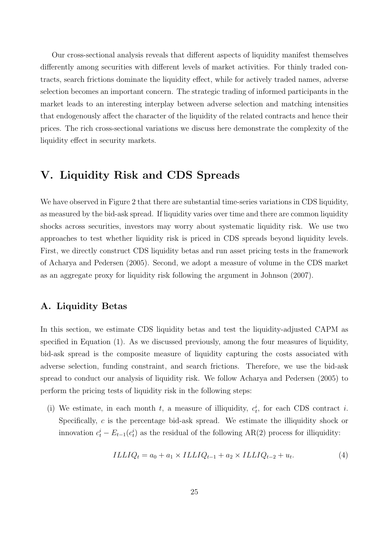Our cross-sectional analysis reveals that different aspects of liquidity manifest themselves differently among securities with different levels of market activities. For thinly traded contracts, search frictions dominate the liquidity effect, while for actively traded names, adverse selection becomes an important concern. The strategic trading of informed participants in the market leads to an interesting interplay between adverse selection and matching intensities that endogenously affect the character of the liquidity of the related contracts and hence their prices. The rich cross-sectional variations we discuss here demonstrate the complexity of the liquidity effect in security markets.

# V. Liquidity Risk and CDS Spreads

We have observed in Figure 2 that there are substantial time-series variations in CDS liquidity, as measured by the bid-ask spread. If liquidity varies over time and there are common liquidity shocks across securities, investors may worry about systematic liquidity risk. We use two approaches to test whether liquidity risk is priced in CDS spreads beyond liquidity levels. First, we directly construct CDS liquidity betas and run asset pricing tests in the framework of Acharya and Pedersen (2005). Second, we adopt a measure of volume in the CDS market as an aggregate proxy for liquidity risk following the argument in Johnson (2007).

### A. Liquidity Betas

In this section, we estimate CDS liquidity betas and test the liquidity-adjusted CAPM as specified in Equation (1). As we discussed previously, among the four measures of liquidity, bid-ask spread is the composite measure of liquidity capturing the costs associated with adverse selection, funding constraint, and search frictions. Therefore, we use the bid-ask spread to conduct our analysis of liquidity risk. We follow Acharya and Pedersen (2005) to perform the pricing tests of liquidity risk in the following steps:

(i) We estimate, in each month  $t$ , a measure of illiquidity,  $c_t^i$ , for each CDS contract *i*. Specifically, c is the percentage bid-ask spread. We estimate the illiquidity shock or innovation  $c_t^i - E_{t-1}(c_t^i)$  as the residual of the following AR(2) process for illiquidity:

$$
ILLIQ_t = a_0 + a_1 \times ILLIQ_{t-1} + a_2 \times ILLIQ_{t-2} + u_t.
$$
\n
$$
(4)
$$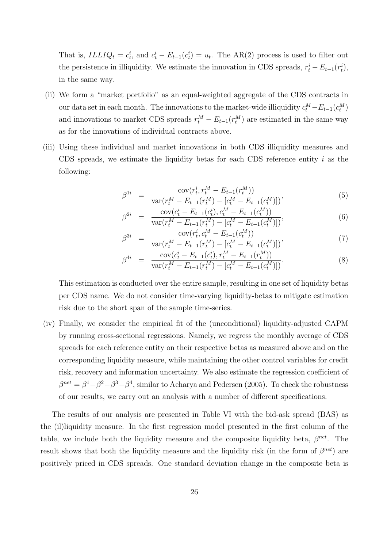That is,  $ILLIQ_t = c_t^i$ , and  $c_t^i - E_{t-1}(c_t^i) = u_t$ . The AR(2) process is used to filter out the persistence in illiquidity. We estimate the innovation in CDS spreads,  $r_t^i - E_{t-1}(r_t^i)$ , in the same way.

- (ii) We form a "market portfolio" as an equal-weighted aggregate of the CDS contracts in our data set in each month. The innovations to the market-wide illiquidity  $c_t^M - E_{t-1}(c_t^M)$ and innovations to market CDS spreads  $r_t^M - E_{t-1}(r_t^M)$  are estimated in the same way as for the innovations of individual contracts above.
- (iii) Using these individual and market innovations in both CDS illiquidity measures and CDS spreads, we estimate the liquidity betas for each CDS reference entity  $i$  as the following:

$$
\beta^{1i} = \frac{\text{cov}(r_t^i, r_t^M - E_{t-1}(r_t^M))}{\text{var}(r_t^M - E_{t-1}(r_t^M) - [c_t^M - E_{t-1}(c_t^M)])},\tag{5}
$$

$$
\beta^{2i} = \frac{\text{cov}(c_t^i - E_{t-1}(c_t^i), c_t^M - E_{t-1}(c_t^M))}{\text{var}(r_t^M - E_{t-1}(r_t^M) - [c_t^M - E_{t-1}(c_t^M)])},\tag{6}
$$

$$
\beta^{3i} = \frac{\text{cov}(r_t^i, c_t^M - E_{t-1}(c_t^M))}{\text{var}(r_t^M - E_{t-1}(r_t^M) - [c_t^M - E_{t-1}(c_t^M)])},\tag{7}
$$

$$
\beta^{4i} = \frac{\text{cov}(c_t^i - E_{t-1}(c_t^i), r_t^M - E_{t-1}(r_t^M))}{\text{var}(r_t^M - E_{t-1}(r_t^M) - [c_t^M - E_{t-1}(c_t^M)])}.
$$
\n(8)

This estimation is conducted over the entire sample, resulting in one set of liquidity betas per CDS name. We do not consider time-varying liquidity-betas to mitigate estimation risk due to the short span of the sample time-series.

(iv) Finally, we consider the empirical fit of the (unconditional) liquidity-adjusted CAPM by running cross-sectional regressions. Namely, we regress the monthly average of CDS spreads for each reference entity on their respective betas as measured above and on the corresponding liquidity measure, while maintaining the other control variables for credit risk, recovery and information uncertainty. We also estimate the regression coefficient of  $\beta^{net} = \beta^1 + \beta^2 - \beta^3 - \beta^4$ , similar to Acharya and Pedersen (2005). To check the robustness of our results, we carry out an analysis with a number of different specifications.

The results of our analysis are presented in Table VI with the bid-ask spread (BAS) as the (il)liquidity measure. In the first regression model presented in the first column of the table, we include both the liquidity measure and the composite liquidity beta,  $\beta^{net}$ . The result shows that both the liquidity measure and the liquidity risk (in the form of  $\beta^{net}$ ) are positively priced in CDS spreads. One standard deviation change in the composite beta is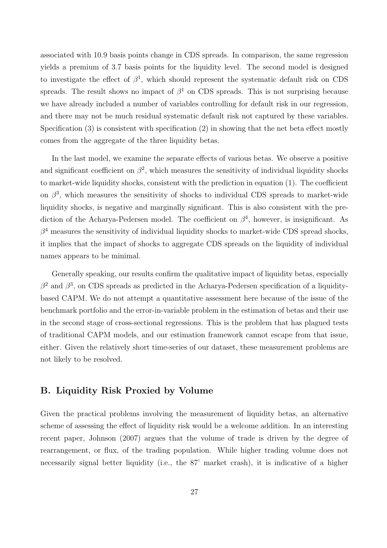associated with 10.9 basis points change in CDS spreads. In comparison, the same regression yields a premium of 3.7 basis points for the liquidity level. The second model is designed to investigate the effect of  $\beta^1$ , which should represent the systematic default risk on CDS spreads. The result shows no impact of  $\beta^1$  on CDS spreads. This is not surprising because we have already included a number of variables controlling for default risk in our regression, and there may not be much residual systematic default risk not captured by these variables. Specification (3) is consistent with specification (2) in showing that the net beta effect mostly comes from the aggregate of the three liquidity betas.

In the last model, we examine the separate effects of various betas. We observe a positive and significant coefficient on  $\beta^2$ , which measures the sensitivity of individual liquidity shocks to market-wide liquidity shocks, consistent with the prediction in equation (1). The coefficient on  $\beta^3$ , which measures the sensitivity of shocks to individual CDS spreads to market-wide liquidity shocks, is negative and marginally significant. This is also consistent with the prediction of the Acharya-Pedersen model. The coefficient on  $\beta^4$ , however, is insignificant. As  $\beta^4$  measures the sensitivity of individual liquidity shocks to market-wide CDS spread shocks, it implies that the impact of shocks to aggregate CDS spreads on the liquidity of individual names appears to be minimal.

Generally speaking, our results confirm the qualitative impact of liquidity betas, especially  $\beta^2$  and  $\beta^3$ , on CDS spreads as predicted in the Acharya-Pedersen specification of a liquiditybased CAPM. We do not attempt a quantitative assessment here because of the issue of the benchmark portfolio and the error-in-variable problem in the estimation of betas and their use in the second stage of cross-sectional regressions. This is the problem that has plagued tests of traditional CAPM models, and our estimation framework cannot escape from that issue, either. Given the relatively short time-series of our dataset, these measurement problems are not likely to be resolved.

#### B. Liquidity Risk Proxied by Volume

Given the practical problems involving the measurement of liquidity betas, an alternative scheme of assessing the effect of liquidity risk would be a welcome addition. In an interesting recent paper, Johnson (2007) argues that the volume of trade is driven by the degree of rearrangement, or flux, of the trading population. While higher trading volume does not necessarily signal better liquidity (i.e., the 87' market crash), it is indicative of a higher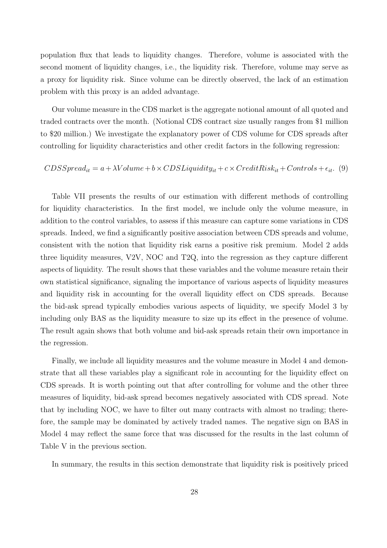population flux that leads to liquidity changes. Therefore, volume is associated with the second moment of liquidity changes, i.e., the liquidity risk. Therefore, volume may serve as a proxy for liquidity risk. Since volume can be directly observed, the lack of an estimation problem with this proxy is an added advantage.

Our volume measure in the CDS market is the aggregate notional amount of all quoted and traded contracts over the month. (Notional CDS contract size usually ranges from \$1 million to \$20 million.) We investigate the explanatory power of CDS volume for CDS spreads after controlling for liquidity characteristics and other credit factors in the following regression:

### $CDSSpread_{it} = a + \lambda Volume + b \times CDSLiquidity_{it} + c \times CreditRisk_{it} + Controls + \epsilon_{it}.$  (9)

Table VII presents the results of our estimation with different methods of controlling for liquidity characteristics. In the first model, we include only the volume measure, in addition to the control variables, to assess if this measure can capture some variations in CDS spreads. Indeed, we find a significantly positive association between CDS spreads and volume, consistent with the notion that liquidity risk earns a positive risk premium. Model 2 adds three liquidity measures, V2V, NOC and T2Q, into the regression as they capture different aspects of liquidity. The result shows that these variables and the volume measure retain their own statistical significance, signaling the importance of various aspects of liquidity measures and liquidity risk in accounting for the overall liquidity effect on CDS spreads. Because the bid-ask spread typically embodies various aspects of liquidity, we specify Model 3 by including only BAS as the liquidity measure to size up its effect in the presence of volume. The result again shows that both volume and bid-ask spreads retain their own importance in the regression.

Finally, we include all liquidity measures and the volume measure in Model 4 and demonstrate that all these variables play a significant role in accounting for the liquidity effect on CDS spreads. It is worth pointing out that after controlling for volume and the other three measures of liquidity, bid-ask spread becomes negatively associated with CDS spread. Note that by including NOC, we have to filter out many contracts with almost no trading; therefore, the sample may be dominated by actively traded names. The negative sign on BAS in Model 4 may reflect the same force that was discussed for the results in the last column of Table V in the previous section.

In summary, the results in this section demonstrate that liquidity risk is positively priced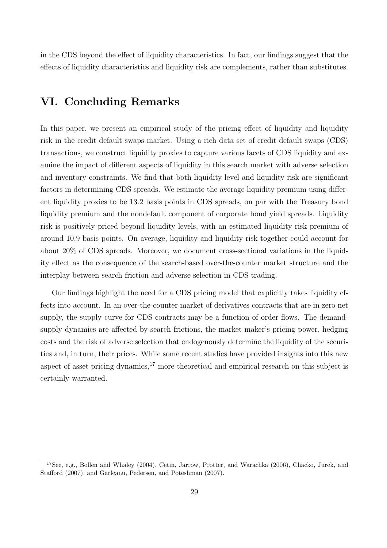in the CDS beyond the effect of liquidity characteristics. In fact, our findings suggest that the effects of liquidity characteristics and liquidity risk are complements, rather than substitutes.

# VI. Concluding Remarks

In this paper, we present an empirical study of the pricing effect of liquidity and liquidity risk in the credit default swaps market. Using a rich data set of credit default swaps (CDS) transactions, we construct liquidity proxies to capture various facets of CDS liquidity and examine the impact of different aspects of liquidity in this search market with adverse selection and inventory constraints. We find that both liquidity level and liquidity risk are significant factors in determining CDS spreads. We estimate the average liquidity premium using different liquidity proxies to be 13.2 basis points in CDS spreads, on par with the Treasury bond liquidity premium and the nondefault component of corporate bond yield spreads. Liquidity risk is positively priced beyond liquidity levels, with an estimated liquidity risk premium of around 10.9 basis points. On average, liquidity and liquidity risk together could account for about 20% of CDS spreads. Moreover, we document cross-sectional variations in the liquidity effect as the consequence of the search-based over-the-counter market structure and the interplay between search friction and adverse selection in CDS trading.

Our findings highlight the need for a CDS pricing model that explicitly takes liquidity effects into account. In an over-the-counter market of derivatives contracts that are in zero net supply, the supply curve for CDS contracts may be a function of order flows. The demandsupply dynamics are affected by search frictions, the market maker's pricing power, hedging costs and the risk of adverse selection that endogenously determine the liquidity of the securities and, in turn, their prices. While some recent studies have provided insights into this new aspect of asset pricing dynamics, $17$  more theoretical and empirical research on this subject is certainly warranted.

<sup>17</sup>See, e.g., Bollen and Whaley (2004), Cetin, Jarrow, Protter, and Warachka (2006), Chacko, Jurek, and Stafford (2007), and Garleanu, Pedersen, and Poteshman (2007).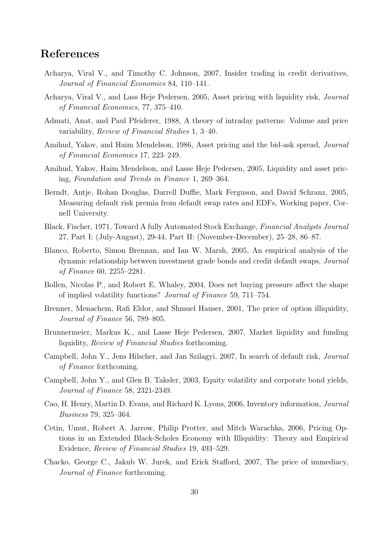# References

- Acharya, Viral V., and Timothy C. Johnson, 2007, Insider trading in credit derivatives, Journal of Financial Economics 84, 110–141.
- Acharya, Viral V., and Lass Heje Pedersen, 2005, Asset pricing with liquidity risk, Journal of Financial Economics, 77, 375–410.
- Admati, Anat, and Paul Pfeiderer, 1988, A theory of intraday patterns: Volume and price variability, Review of Financial Studies 1, 3–40.
- Amihud, Yakov, and Haim Mendelson, 1986, Asset pricing and the bid-ask spread, Journal of Financial Economics 17, 223–249.
- Amihud, Yakov, Haim Mendelson, and Lasse Heje Pedersen, 2005, Liquidity and asset pricing, Foundation and Trends in Finance 1, 269–364.
- Berndt, Antje, Rohan Douglas, Darrell Duffie, Mark Ferguson, and David Schranz, 2005, Measuring default risk premia from default swap rates and EDFs, Working paper, Cornell University.
- Black, Fischer, 1971, Toward A fully Automated Stock Exchange, Financial Analysts Journal 27, Part I: (July-August), 29-44, Part II: (November-December), 25–28, 86–87.
- Blanco, Roberto, Simon Brennan, and Ian W. Marsh, 2005, An empirical analysis of the dynamic relationship between investment grade bonds and credit default swaps, Journal of Finance 60, 2255–2281.
- Bollen, Nicolas P., and Robert E. Whaley, 2004, Does net buying pressure affect the shape of implied volatility functions? Journal of Finance 59, 711–754.
- Brenner, Menachem, Rafi Eldor, and Shmuel Hauser, 2001, The price of option illiquidity, Journal of Finance 56, 789–805.
- Brunnermeier, Markus K., and Lasse Heje Pedersen, 2007, Market liquidity and funding liquidity, Review of Financial Studies forthcoming.
- Campbell, John Y., Jens Hilscher, and Jan Szilagyi, 2007, In search of default risk, Journal of Finance forthcoming.
- Campbell, John Y., and Glen B. Taksler, 2003, Equity volatility and corporate bond yields, Journal of Finance 58, 2321-2349.
- Cao, H. Henry, Martin D. Evans, and Richard K. Lyons, 2006, Inventory information, Journal Business 79, 325–364.
- Cetin, Umut, Robert A. Jarrow, Philip Protter, and Mitch Warachka, 2006, Pricing Options in an Extended Black-Scholes Economy with Illiquidity: Theory and Empirical Evidence, Review of Financial Studies 19, 493–529.
- Chacko, George C., Jakub W. Jurek, and Erick Stafford, 2007, The price of immediacy, Journal of Finance forthcoming.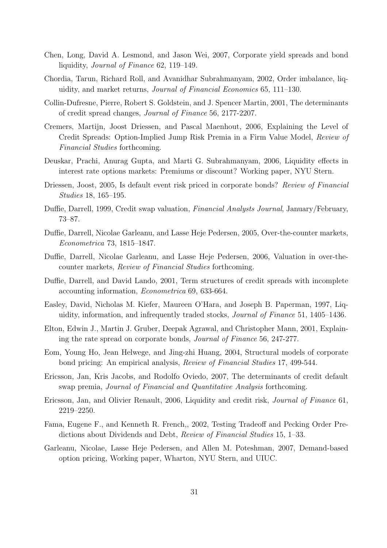- Chen, Long, David A. Lesmond, and Jason Wei, 2007, Corporate yield spreads and bond liquidity, Journal of Finance 62, 119–149.
- Chordia, Tarun, Richard Roll, and Avanidhar Subrahmanyam, 2002, Order imbalance, liquidity, and market returns, Journal of Financial Economics 65, 111–130.
- Collin-Dufresne, Pierre, Robert S. Goldstein, and J. Spencer Martin, 2001, The determinants of credit spread changes, Journal of Finance 56, 2177-2207.
- Cremers, Martijn, Joost Driessen, and Pascal Maenhout, 2006, Explaining the Level of Credit Spreads: Option-Implied Jump Risk Premia in a Firm Value Model, Review of Financial Studies forthcoming.
- Deuskar, Prachi, Anurag Gupta, and Marti G. Subrahmanyam, 2006, Liquidity effects in interest rate options markets: Premiums or discount? Working paper, NYU Stern.
- Driessen, Joost, 2005, Is default event risk priced in corporate bonds? Review of Financial Studies 18, 165–195.
- Duffie, Darrell, 1999, Credit swap valuation, Financial Analysts Journal, January/February, 73–87.
- Duffie, Darrell, Nicolae Garleanu, and Lasse Heje Pedersen, 2005, Over-the-counter markets, Econometrica 73, 1815–1847.
- Duffie, Darrell, Nicolae Garleanu, and Lasse Heje Pedersen, 2006, Valuation in over-thecounter markets, Review of Financial Studies forthcoming.
- Duffie, Darrell, and David Lando, 2001, Term structures of credit spreads with incomplete accounting information, Econometrica 69, 633-664.
- Easley, David, Nicholas M. Kiefer, Maureen O'Hara, and Joseph B. Paperman, 1997, Liquidity, information, and infrequently traded stocks, Journal of Finance 51, 1405–1436.
- Elton, Edwin J., Martin J. Gruber, Deepak Agrawal, and Christopher Mann, 2001, Explaining the rate spread on corporate bonds, Journal of Finance 56, 247-277.
- Eom, Young Ho, Jean Helwege, and Jing-zhi Huang, 2004, Structural models of corporate bond pricing: An empirical analysis, Review of Financial Studies 17, 499-544.
- Ericsson, Jan, Kris Jacobs, and Rodolfo Oviedo, 2007, The determinants of credit default swap premia, Journal of Financial and Quantitative Analysis forthcoming.
- Ericsson, Jan, and Olivier Renault, 2006, Liquidity and credit risk, Journal of Finance 61, 2219–2250.
- Fama, Eugene F., and Kenneth R. French,, 2002, Testing Tradeoff and Pecking Order Predictions about Dividends and Debt, Review of Financial Studies 15, 1–33.
- Garleanu, Nicolae, Lasse Heje Pedersen, and Allen M. Poteshman, 2007, Demand-based option pricing, Working paper, Wharton, NYU Stern, and UIUC.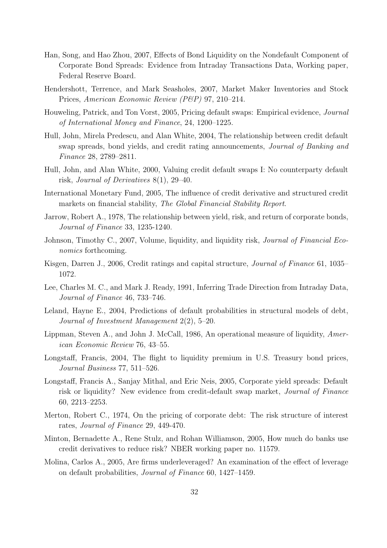- Han, Song, and Hao Zhou, 2007, Effects of Bond Liquidity on the Nondefault Component of Corporate Bond Spreads: Evidence from Intraday Transactions Data, Working paper, Federal Reserve Board.
- Hendershott, Terrence, and Mark Seasholes, 2007, Market Maker Inventories and Stock Prices, American Economic Review (P&P) 97, 210–214.
- Houweling, Patrick, and Ton Vorst, 2005, Pricing default swaps: Empirical evidence, Journal of International Money and Finance, 24, 1200–1225.
- Hull, John, Mirela Predescu, and Alan White, 2004, The relationship between credit default swap spreads, bond yields, and credit rating announcements, Journal of Banking and Finance 28, 2789–2811.
- Hull, John, and Alan White, 2000, Valuing credit default swaps I: No counterparty default risk, Journal of Derivatives 8(1), 29–40.
- International Monetary Fund, 2005, The influence of credit derivative and structured credit markets on financial stability, The Global Financial Stability Report.
- Jarrow, Robert A., 1978, The relationship between yield, risk, and return of corporate bonds, Journal of Finance 33, 1235-1240.
- Johnson, Timothy C., 2007, Volume, liquidity, and liquidity risk, *Journal of Financial Eco*nomics forthcoming.
- Kisgen, Darren J., 2006, Credit ratings and capital structure, *Journal of Finance* 61, 1035– 1072.
- Lee, Charles M. C., and Mark J. Ready, 1991, Inferring Trade Direction from Intraday Data, Journal of Finance 46, 733–746.
- Leland, Hayne E., 2004, Predictions of default probabilities in structural models of debt, Journal of Investment Management 2(2), 5–20.
- Lippman, Steven A., and John J. McCall, 1986, An operational measure of liquidity, American Economic Review 76, 43–55.
- Longstaff, Francis, 2004, The flight to liquidity premium in U.S. Treasury bond prices, Journal Business 77, 511–526.
- Longstaff, Francis A., Sanjay Mithal, and Eric Neis, 2005, Corporate yield spreads: Default risk or liquidity? New evidence from credit-default swap market, Journal of Finance 60, 2213–2253.
- Merton, Robert C., 1974, On the pricing of corporate debt: The risk structure of interest rates, Journal of Finance 29, 449-470.
- Minton, Bernadette A., Rene Stulz, and Rohan Williamson, 2005, How much do banks use credit derivatives to reduce risk? NBER working paper no. 11579.
- Molina, Carlos A., 2005, Are firms underleveraged? An examination of the effect of leverage on default probabilities, Journal of Finance 60, 1427–1459.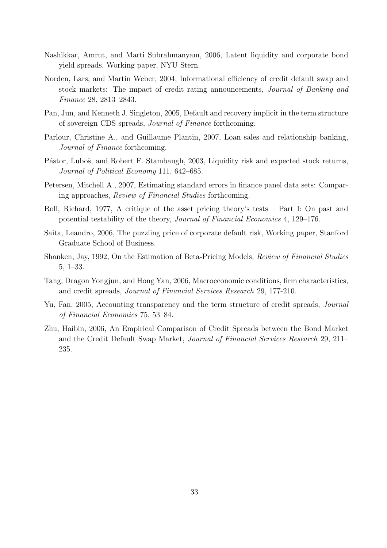- Nashikkar, Amrut, and Marti Subrahmanyam, 2006, Latent liquidity and corporate bond yield spreads, Working paper, NYU Stern.
- Norden, Lars, and Martin Weber, 2004, Informational efficiency of credit default swap and stock markets: The impact of credit rating announcements, Journal of Banking and Finance 28, 2813–2843.
- Pan, Jun, and Kenneth J. Singleton, 2005, Default and recovery implicit in the term structure of sovereign CDS spreads, Journal of Finance forthcoming.
- Parlour, Christine A., and Guillaume Plantin, 2007, Loan sales and relationship banking, Journal of Finance forthcoming.
- Pástor, Ľuboš, and Robert F. Stambaugh, 2003, Liquidity risk and expected stock returns, Journal of Political Economy 111, 642–685.
- Petersen, Mitchell A., 2007, Estimating standard errors in finance panel data sets: Comparing approaches, Review of Financial Studies forthcoming.
- Roll, Richard, 1977, A critique of the asset pricing theory's tests Part I: On past and potential testability of the theory, Journal of Financial Economics 4, 129–176.
- Saita, Leandro, 2006, The puzzling price of corporate default risk, Working paper, Stanford Graduate School of Business.
- Shanken, Jay, 1992, On the Estimation of Beta-Pricing Models, Review of Financial Studies 5, 1–33.
- Tang, Dragon Yongjun, and Hong Yan, 2006, Macroeconomic conditions, firm characteristics, and credit spreads, Journal of Financial Services Research 29, 177-210.
- Yu, Fan, 2005, Accounting transparency and the term structure of credit spreads, Journal of Financial Economics 75, 53–84.
- Zhu, Haibin, 2006, An Empirical Comparison of Credit Spreads between the Bond Market and the Credit Default Swap Market, Journal of Financial Services Research 29, 211– 235.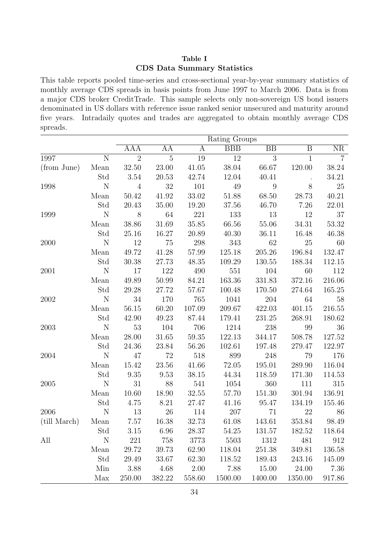#### Table I CDS Data Summary Statistics

This table reports pooled time-series and cross-sectional year-by-year summary statistics of monthly average CDS spreads in basis points from June 1997 to March 2006. Data is from a major CDS broker CreditTrade. This sample selects only non-sovereign US bond issuers denominated in US dollars with reference issue ranked senior unsecured and maturity around five years. Intradaily quotes and trades are aggregated to obtain monthly average CDS spreads.

|              |             |                | Rating Groups  |        |            |                |                |                        |  |
|--------------|-------------|----------------|----------------|--------|------------|----------------|----------------|------------------------|--|
|              |             | AAA            | AA             | A      | <b>BBB</b> | <b>BB</b>      | B              | $\overline{\text{NR}}$ |  |
| 1997         | $\mathbf N$ | $\overline{2}$ | $\overline{5}$ | 19     | 12         | $\overline{3}$ | $\overline{1}$ | $\overline{7}$         |  |
| (from June)  | Mean        | 32.50          | 23.00          | 41.05  | 38.04      | 66.67          | 120.00         | 38.24                  |  |
|              | Std         | 3.54           | 20.53          | 42.74  | 12.04      | 40.41          |                | 34.21                  |  |
| 1998         | $\mathbf N$ | $\overline{4}$ | 32             | 101    | 49         | 9              | 8              | 25                     |  |
|              | Mean        | 50.42          | 41.92          | 33.02  | 51.88      | 68.50          | 28.73          | 40.21                  |  |
|              | Std         | 20.43          | 35.00          | 19.20  | $37.56\,$  | 46.70          | 7.26           | 22.01                  |  |
| 1999         | N           | 8              | 64             | 221    | 133        | 13             | 12             | 37                     |  |
|              | Mean        | 38.86          | 31.69          | 35.85  | 66.56      | 55.06          | 34.31          | 53.32                  |  |
|              | Std         | 25.16          | 16.27          | 20.89  | 40.30      | 36.11          | 16.48          | 46.38                  |  |
| 2000         | $\mathbf N$ | 12             | 75             | 298    | 343        | 62             | 25             | 60                     |  |
|              | Mean        | 49.72          | 41.28          | 57.99  | 125.18     | 205.26         | 196.84         | 132.47                 |  |
|              | Std         | 30.38          | 27.73          | 48.35  | 109.29     | 130.55         | 188.34         | 112.15                 |  |
| 2001         | $\mathbf N$ | 17             | 122            | 490    | 551        | 104            | 60             | 112                    |  |
|              | Mean        | 49.89          | 50.99          | 84.21  | 163.36     | 331.83         | 372.16         | 216.06                 |  |
|              | Std         | 29.28          | 27.72          | 57.67  | 100.48     | 170.50         | 274.64         | 165.25                 |  |
| 2002         | $\mathbf N$ | 34             | 170            | 765    | 1041       | 204            | 64             | 58                     |  |
|              | Mean        | 56.15          | 60.20          | 107.09 | 209.67     | 422.03         | 401.15         | 216.55                 |  |
|              | Std         | 42.90          | 49.23          | 87.44  | 179.41     | 231.25         | 268.91         | 180.62                 |  |
| 2003         | $\mathbf N$ | 53             | 104            | 706    | 1214       | 238            | 99             | 36                     |  |
|              | Mean        | 28.00          | $31.65\,$      | 59.35  | 122.13     | 344.17         | 508.78         | 127.52                 |  |
|              | Std         | 24.36          | 23.84          | 56.26  | 102.61     | 197.48         | 279.47         | 122.97                 |  |
| 2004         | N           | 47             | 72             | 518    | 899        | 248            | 79             | 176                    |  |
|              | Mean        | 15.42          | 23.56          | 41.66  | 72.05      | 195.01         | 289.90         | 116.04                 |  |
|              | Std         | $9.35\,$       | 9.53           | 38.15  | 44.34      | 118.59         | 171.30         | 114.53                 |  |
| 2005         | N           | 31             | 88             | 541    | 1054       | 360            | 111            | 315                    |  |
|              | Mean        | 10.60          | 18.90          | 32.55  | 57.70      | 151.30         | 301.94         | 136.91                 |  |
|              | Std         | 4.75           | 8.21           | 27.47  | 41.16      | 95.47          | 134.19         | 155.46                 |  |
| 2006         | $\mathbf N$ | 13             | $26\,$         | 114    | 207        | 71             | 22             | 86                     |  |
| (till March) | Mean        | 7.57           | 16.38          | 32.73  | 61.08      | 143.61         | 353.84         | 98.49                  |  |
|              | Std         | $3.15\,$       | 6.96           | 28.37  | $54.25\,$  | 131.57         | 182.52         | 118.64                 |  |
| All          | N           | 221            | 758            | 3773   | 5503       | 1312           | 481            | 912                    |  |
|              | Mean        | 29.72          | 39.73          | 62.90  | 118.04     | 251.38         | 349.81         | 136.58                 |  |
|              | Std         | 29.49          | 33.67          | 62.30  | 118.52     | 189.43         | 243.16         | 145.09                 |  |
|              | Min         | 3.88           | 4.68           | 2.00   | 7.88       | 15.00          | 24.00          | 7.36                   |  |
|              | Max         | 250.00         | 382.22         | 558.60 | 1500.00    | 1400.00        | 1350.00        | 917.86                 |  |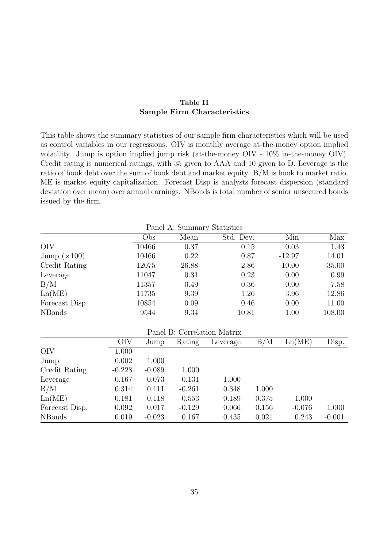#### Table II Sample Firm Characteristics

This table shows the summary statistics of our sample firm characteristics which will be used as control variables in our regressions. OIV is monthly average at-the-money option implied volatility. Jump is option implied jump risk (at-the-money OIV - 10% in-the-money OIV). Credit rating is numerical ratings, with 35 given to AAA and 10 given to D. Leverage is the ratio of book debt over the sum of book debt and market equity. B/M is book to market ratio. ME is market equity capitalization. Forecast Disp is analysts forecast dispersion (standard deviation over mean) over annual earnings. NBonds is total number of senior unsecured bonds issued by the firm.

| Panel A: Summary Statistics |       |       |           |          |        |  |  |  |  |
|-----------------------------|-------|-------|-----------|----------|--------|--|--|--|--|
|                             | Obs   | Mean  | Std. Dev. | Min      | Max    |  |  |  |  |
| <b>OIV</b>                  | 10466 | 0.37  | 0.15      | 0.03     | 1.43   |  |  |  |  |
| Jump $(\times 100)$         | 10466 | 0.22  | 0.87      | $-12.97$ | 14.01  |  |  |  |  |
| Credit Rating               | 12075 | 26.88 | 2.86      | 10.00    | 35.00  |  |  |  |  |
| Leverage                    | 11047 | 0.31  | 0.23      | 0.00     | 0.99   |  |  |  |  |
| B/M                         | 11357 | 0.49  | 0.36      | 0.00     | 7.58   |  |  |  |  |
| Ln(ME)                      | 11735 | 9.39  | 1.26      | 3.96     | 12.86  |  |  |  |  |
| Forecast Disp.              | 10854 | 0.09  | 0.46      | 0.00     | 11.00  |  |  |  |  |
| <b>NB</b> onds              | 9544  | 9.34  | 10.81     | 1.00     | 108.00 |  |  |  |  |

| Panel B: Correlation Matrix |            |          |          |          |          |          |          |  |  |
|-----------------------------|------------|----------|----------|----------|----------|----------|----------|--|--|
|                             | <b>OIV</b> | Jump     | Rating   | Leverage | B/M      | Ln(ME)   | Disp.    |  |  |
| <b>OIV</b>                  | 1.000      |          |          |          |          |          |          |  |  |
| Jump                        | 0.002      | 1.000    |          |          |          |          |          |  |  |
| Credit Rating               | $-0.228$   | $-0.089$ | 1.000    |          |          |          |          |  |  |
| Leverage                    | 0.167      | 0.073    | $-0.131$ | 1.000    |          |          |          |  |  |
| B/M                         | 0.314      | 0.111    | $-0.261$ | 0.348    | 1.000    |          |          |  |  |
| Ln(ME)                      | $-0.181$   | $-0.118$ | 0.553    | $-0.189$ | $-0.375$ | 1.000    |          |  |  |
| Forecast Disp.              | 0.092      | 0.017    | $-0.129$ | 0.066    | 0.156    | $-0.076$ | 1.000    |  |  |
| <b>NB</b> onds              | 0.019      | $-0.023$ | 0.167    | 0.435    | 0.021    | 0.243    | $-0.001$ |  |  |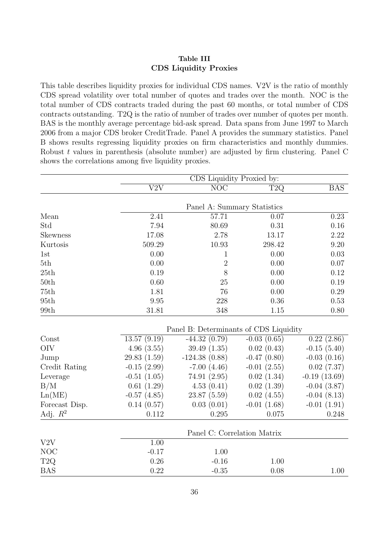#### Table III CDS Liquidity Proxies

This table describes liquidity proxies for individual CDS names. V2V is the ratio of monthly CDS spread volatility over total number of quotes and trades over the month. NOC is the total number of CDS contracts traded during the past 60 months, or total number of CDS contracts outstanding. T2Q is the ratio of number of trades over number of quotes per month. BAS is the monthly average percentage bid-ask spread. Data spans from June 1997 to March 2006 from a major CDS broker CreditTrade. Panel A provides the summary statistics. Panel B shows results regressing liquidity proxies on firm characteristics and monthly dummies. Robust t values in parenthesis (absolute number) are adjusted by firm clustering. Panel C shows the correlations among five liquidity proxies.

|                  |                         | CDS Liquidity Proxied by:              | $\overline{\text{T2Q}}$<br>0.07<br>0.31<br>13.17<br>298.42<br>0.00<br>0.00<br>0.00<br>0.00<br>0.00 |                         |  |
|------------------|-------------------------|----------------------------------------|----------------------------------------------------------------------------------------------------|-------------------------|--|
|                  | $\overline{\text{V2V}}$ | $\overline{\text{NOC}}$                |                                                                                                    | $\overline{\text{BAS}}$ |  |
|                  |                         | Panel A: Summary Statistics            |                                                                                                    |                         |  |
| Mean             | 2.41                    | 57.71                                  |                                                                                                    | 0.23                    |  |
| Std              | 7.94                    | 80.69                                  |                                                                                                    | 0.16                    |  |
| Skewness         | 17.08                   | 2.78                                   |                                                                                                    | 2.22                    |  |
| Kurtosis         | 509.29                  | 10.93                                  |                                                                                                    | 9.20                    |  |
| 1st              | 0.00                    | $\mathbf 1$                            |                                                                                                    | 0.03                    |  |
| 5th              | 0.00                    | $\overline{2}$                         |                                                                                                    | 0.07                    |  |
| 25th             | 0.19                    | 8                                      |                                                                                                    | 0.12                    |  |
| 50th             | 0.60                    | 25                                     |                                                                                                    | 0.19                    |  |
| 75th             | 1.81                    | 76                                     |                                                                                                    | 0.29                    |  |
| 95th             | 9.95                    | 228                                    | 0.36                                                                                               | 0.53                    |  |
| 99th             | 31.81                   | 348                                    | 1.15                                                                                               | 0.80                    |  |
|                  |                         |                                        |                                                                                                    |                         |  |
|                  |                         | Panel B: Determinants of CDS Liquidity |                                                                                                    |                         |  |
| Const            | 13.57(9.19)             | $-44.32(0.79)$                         | $-0.03(0.65)$                                                                                      | 0.22(2.86)              |  |
| <b>OIV</b>       | 4.96(3.55)              | 39.49(1.35)                            | 0.02(0.43)                                                                                         | $-0.15(5.40)$           |  |
| Jump             | 29.83 (1.59)            | $-124.38(0.88)$                        | $-0.47(0.80)$                                                                                      | $-0.03(0.16)$           |  |
| Credit Rating    | $-0.15(2.99)$           | $-7.00(4.46)$                          | $-0.01(2.55)$                                                                                      | 0.02(7.37)              |  |
| Leverage         | $-0.51(1.05)$           | 74.91(2.95)                            | 0.02(1.34)                                                                                         | $-0.19(13.69)$          |  |
| B/M              | 0.61(1.29)              | 4.53(0.41)                             | 0.02(1.39)                                                                                         | $-0.04(3.87)$           |  |
| Ln(ME)           | $-0.57(4.85)$           | 23.87(5.59)                            | 0.02(4.55)                                                                                         | $-0.04(8.13)$           |  |
| Forecast Disp.   | 0.14(0.57)              | 0.03(0.01)                             | $-0.01(1.68)$                                                                                      | $-0.01(1.91)$           |  |
| Adj. $R^2$       | 0.112                   | 0.295                                  | 0.075                                                                                              | 0.248                   |  |
|                  |                         | Panel C: Correlation Matrix            |                                                                                                    |                         |  |
| V2V              | $\overline{1.00}$       |                                        |                                                                                                    |                         |  |
| <b>NOC</b>       | $-0.17$                 | 1.00                                   |                                                                                                    |                         |  |
| T <sub>2</sub> Q | 0.26                    | $-0.16$                                | 1.00                                                                                               |                         |  |
| <b>BAS</b>       | 0.22                    | $-0.35$                                | 0.08                                                                                               | 1.00                    |  |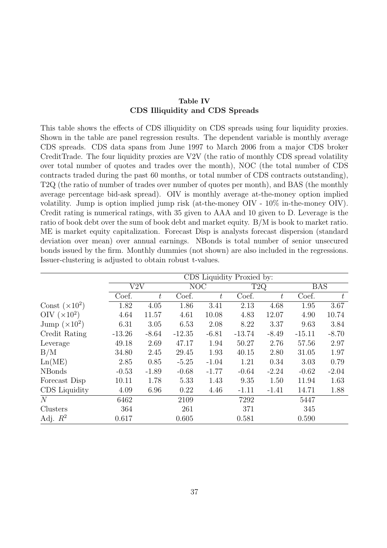#### Table IV CDS Illiquidity and CDS Spreads

This table shows the effects of CDS illiquidity on CDS spreads using four liquidity proxies. Shown in the table are panel regression results. The dependent variable is monthly average CDS spreads. CDS data spans from June 1997 to March 2006 from a major CDS broker CreditTrade. The four liquidity proxies are V2V (the ratio of monthly CDS spread volatility over total number of quotes and trades over the month), NOC (the total number of CDS contracts traded during the past 60 months, or total number of CDS contracts outstanding), T2Q (the ratio of number of trades over number of quotes per month), and BAS (the monthly average percentage bid-ask spread). OIV is monthly average at-the-money option implied volatility. Jump is option implied jump risk (at-the-money OIV - 10% in-the-money OIV). Credit rating is numerical ratings, with 35 given to AAA and 10 given to D. Leverage is the ratio of book debt over the sum of book debt and market equity. B/M is book to market ratio. ME is market equity capitalization. Forecast Disp is analysts forecast dispersion (standard deviation over mean) over annual earnings. NBonds is total number of senior unsecured bonds issued by the firm. Monthly dummies (not shown) are also included in the regressions. Issuer-clustering is adjusted to obtain robust t-values.

|                       |                         | CDS Liquidity Proxied by: |          |         |          |                  |          |            |  |
|-----------------------|-------------------------|---------------------------|----------|---------|----------|------------------|----------|------------|--|
|                       | $\overline{\text{V2V}}$ |                           | NOC      |         |          | T <sub>2</sub> Q |          | <b>BAS</b> |  |
|                       | Coef.                   | ŧ                         | Coef.    | $t\,$   | Coef.    | $t\,$            | Coef.    | ŧ          |  |
| Const $(\times 10^2)$ | 1.82                    | 4.05                      | 1.86     | 3.41    | 2.13     | 4.68             | 1.95     | 3.67       |  |
| OIV $(\times 10^2)$   | 4.64                    | 11.57                     | 4.61     | 10.08   | 4.83     | 12.07            | 4.90     | 10.74      |  |
| Jump $(\times 10^2)$  | 6.31                    | 3.05                      | 6.53     | 2.08    | 8.22     | 3.37             | 9.63     | 3.84       |  |
| Credit Rating         | $-13.26$                | $-8.64$                   | $-12.35$ | $-6.81$ | $-13.74$ | $-8.49$          | $-15.11$ | $-8.70$    |  |
| Leverage              | 49.18                   | 2.69                      | 47.17    | 1.94    | 50.27    | 2.76             | 57.56    | 2.97       |  |
| B/M                   | 34.80                   | 2.45                      | 29.45    | 1.93    | 40.15    | 2.80             | 31.05    | 1.97       |  |
| Ln(ME)                | 2.85                    | 0.85                      | $-5.25$  | $-1.04$ | 1.21     | 0.34             | 3.03     | 0.79       |  |
| <b>NB</b> onds        | $-0.53$                 | $-1.89$                   | $-0.68$  | $-1.77$ | $-0.64$  | $-2.24$          | $-0.62$  | $-2.04$    |  |
| Forecast Disp         | 10.11                   | 1.78                      | 5.33     | 1.43    | 9.35     | 1.50             | 11.94    | 1.63       |  |
| CDS Liquidity         | 4.09                    | 6.96                      | 0.22     | 4.46    | $-1.11$  | $-1.41$          | 14.71    | 1.88       |  |
| N                     | 6462                    |                           | 2109     |         | 7292     |                  | 5447     |            |  |
| Clusters              | 364                     |                           | 261      |         | 371      |                  | 345      |            |  |
| Adj. $R^2$            | 0.617                   |                           | 0.605    |         | 0.581    |                  | 0.590    |            |  |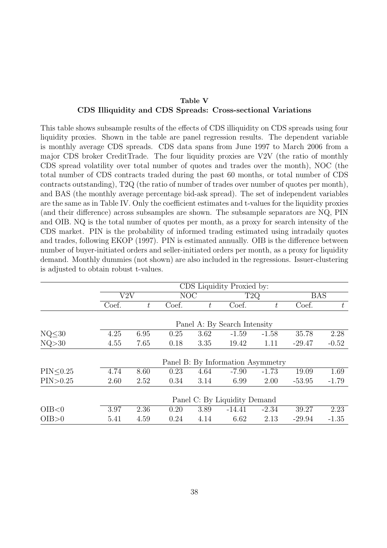#### Table V CDS Illiquidity and CDS Spreads: Cross-sectional Variations

This table shows subsample results of the effects of CDS illiquidity on CDS spreads using four liquidity proxies. Shown in the table are panel regression results. The dependent variable is monthly average CDS spreads. CDS data spans from June 1997 to March 2006 from a major CDS broker CreditTrade. The four liquidity proxies are V2V (the ratio of monthly CDS spread volatility over total number of quotes and trades over the month), NOC (the total number of CDS contracts traded during the past 60 months, or total number of CDS contracts outstanding), T2Q (the ratio of number of trades over number of quotes per month), and BAS (the monthly average percentage bid-ask spread). The set of independent variables are the same as in Table IV. Only the coefficient estimates and t-values for the liquidity proxies (and their difference) across subsamples are shown. The subsample separators are NQ, PIN and OIB. NQ is the total number of quotes per month, as a proxy for search intensity of the CDS market. PIN is the probability of informed trading estimated using intradaily quotes and trades, following EKOP (1997). PIN is estimated annually. OIB is the difference between number of buyer-initiated orders and seller-initiated orders per month, as a proxy for liquidity demand. Monthly dummies (not shown) are also included in the regressions. Issuer-clustering is adjusted to obtain robust t-values.

|              |       | CDS Liquidity Proxied by:         |       |      |          |         |          |            |  |  |  |
|--------------|-------|-----------------------------------|-------|------|----------|---------|----------|------------|--|--|--|
|              |       | V2V                               |       | NOC  |          | T2Q     |          | <b>BAS</b> |  |  |  |
|              | Coef. | $t\,$                             | Coef. | ŧ    | Coef.    | ŧ       | Coef.    | ŧ          |  |  |  |
|              |       | Panel A: By Search Intensity      |       |      |          |         |          |            |  |  |  |
| $NQ \leq 30$ | 4.25  | 6.95                              | 0.25  | 3.62 | $-1.59$  | $-1.58$ | 35.78    | 2.28       |  |  |  |
| NQ > 30      | 4.55  | 7.65                              | 0.18  | 3.35 | 19.42    | 1.11    | $-29.47$ | $-0.52$    |  |  |  |
|              |       | Panel B: By Information Asymmetry |       |      |          |         |          |            |  |  |  |
| PIN<0.25     | 4.74  | 8.60                              | 0.23  | 4.64 | $-7.90$  | $-1.73$ | 19.09    | 1.69       |  |  |  |
| PIN>0.25     | 2.60  | 2.52                              | 0.34  | 3.14 | 6.99     | 2.00    | $-53.95$ | $-1.79$    |  |  |  |
|              |       | Panel C: By Liquidity Demand      |       |      |          |         |          |            |  |  |  |
| OIB<0        | 3.97  | 2.36                              | 0.20  | 3.89 | $-14.41$ | $-2.34$ | 39.27    | 2.23       |  |  |  |
| OIB > 0      | 5.41  | 4.59                              | 0.24  | 4.14 | 6.62     | 2.13    | $-29.94$ | $-1.35$    |  |  |  |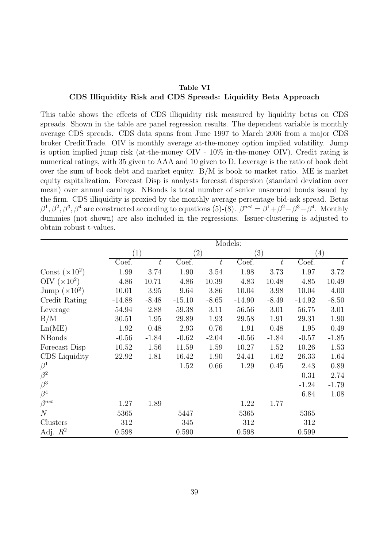#### Table VI CDS Illiquidity Risk and CDS Spreads: Liquidity Beta Approach

This table shows the effects of CDS illiquidity risk measured by liquidity betas on CDS spreads. Shown in the table are panel regression results. The dependent variable is monthly average CDS spreads. CDS data spans from June 1997 to March 2006 from a major CDS broker CreditTrade. OIV is monthly average at-the-money option implied volatility. Jump is option implied jump risk (at-the-money OIV - 10% in-the-money OIV). Credit rating is numerical ratings, with 35 given to AAA and 10 given to D. Leverage is the ratio of book debt over the sum of book debt and market equity. B/M is book to market ratio. ME is market equity capitalization. Forecast Disp is analysts forecast dispersion (standard deviation over mean) over annual earnings. NBonds is total number of senior unsecured bonds issued by the firm. CDS illiquidity is proxied by the monthly average percentage bid-ask spread. Betas  $\beta^1, \beta^2, \beta^3, \beta^4$  are constructed according to equations (5)-(8).  $\beta^{net} = \beta^1 + \beta^2 - \beta^3 - \beta^4$ . Monthly dummies (not shown) are also included in the regressions. Issuer-clustering is adjusted to obtain robust t-values.

|                       |                   |         |                   |         | Models:           |         |          |                   |  |
|-----------------------|-------------------|---------|-------------------|---------|-------------------|---------|----------|-------------------|--|
|                       | $\left( 1\right)$ |         | $\left( 2\right)$ |         | $\left( 3\right)$ |         |          | $\left( 4\right)$ |  |
|                       | Coef.             | $t\,$   | Coef.             | $t\,$   | Coef.             | $t\,$   | Coef.    | $t\,$             |  |
| Const $(\times 10^2)$ | 1.99              | 3.74    | 1.90              | 3.54    | 1.98              | 3.73    | 1.97     | 3.72              |  |
| OIV $(\times 10^2)$   | 4.86              | 10.71   | 4.86              | 10.39   | 4.83              | 10.48   | 4.85     | 10.49             |  |
| Jump $(\times 10^2)$  | 10.01             | 3.95    | 9.64              | 3.86    | 10.04             | 3.98    | 10.04    | 4.00              |  |
| Credit Rating         | $-14.88$          | $-8.48$ | $-15.10$          | $-8.65$ | $-14.90$          | $-8.49$ | $-14.92$ | $-8.50$           |  |
| Leverage              | 54.94             | 2.88    | 59.38             | 3.11    | 56.56             | 3.01    | 56.75    | 3.01              |  |
| B/M                   | 30.51             | 1.95    | 29.89             | 1.93    | 29.58             | 1.91    | 29.31    | 1.90              |  |
| Ln(ME)                | 1.92              | 0.48    | 2.93              | 0.76    | 1.91              | 0.48    | 1.95     | 0.49              |  |
| <b>NB</b> onds        | $-0.56$           | $-1.84$ | $-0.62$           | $-2.04$ | $-0.56$           | $-1.84$ | $-0.57$  | $-1.85$           |  |
| Forecast Disp         | 10.52             | 1.56    | 11.59             | 1.59    | 10.27             | 1.52    | 10.26    | 1.53              |  |
| CDS Liquidity         | 22.92             | 1.81    | 16.42             | 1.90    | 24.41             | 1.62    | 26.33    | 1.64              |  |
| $\beta^1$             |                   |         | 1.52              | 0.66    | 1.29              | 0.45    | 2.43     | 0.89              |  |
| $\beta^2$             |                   |         |                   |         |                   |         | 0.31     | 2.74              |  |
| $\beta^3$             |                   |         |                   |         |                   |         | $-1.24$  | $-1.79$           |  |
| $\beta^4$             |                   |         |                   |         |                   |         | 6.84     | 1.08              |  |
| $\beta^{net}$         | 1.27              | 1.89    |                   |         | 1.22              | 1.77    |          |                   |  |
| N                     | 5365              |         | 5447              |         | 5365              |         | 5365     |                   |  |
| Clusters              | 312               |         | 345               |         | 312               |         | 312      |                   |  |
| Adj. $R^2$            | 0.598             |         | 0.590             |         | 0.598             |         | 0.599    |                   |  |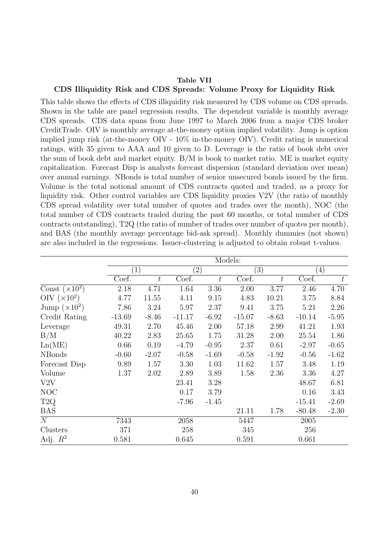#### Table VII

#### CDS Illiquidity Risk and CDS Spreads: Volume Proxy for Liquidity Risk

This table shows the effects of CDS illiquidity risk measured by CDS volume on CDS spreads. Shown in the table are panel regression results. The dependent variable is monthly average CDS spreads. CDS data spans from June 1997 to March 2006 from a major CDS broker CreditTrade. OIV is monthly average at-the-money option implied volatility. Jump is option implied jump risk (at-the-money OIV - 10% in-the-money OIV). Credit rating is numerical ratings, with 35 given to AAA and 10 given to D. Leverage is the ratio of book debt over the sum of book debt and market equity.  $B/M$  is book to market ratio. ME is market equity capitalization. Forecast Disp is analysts forecast dispersion (standard deviation over mean) over annual earnings. NBonds is total number of senior unsecured bonds issued by the firm. Volume is the total notional amount of CDS contracts quoted and traded, as a proxy for liquidity risk. Other control variables are CDS liquidity proxies V2V (the ratio of monthly CDS spread volatility over total number of quotes and trades over the month), NOC (the total number of CDS contracts traded during the past 60 months, or total number of CDS contracts outstanding), T2Q (the ratio of number of trades over number of quotes per month), and BAS (the monthly average percentage bid-ask spread). Monthly dummies (not shown) are also included in the regressions. Issuer-clustering is adjusted to obtain robust t-values.

|                       |                   | Models: |          |         |          |         |          |                  |
|-----------------------|-------------------|---------|----------|---------|----------|---------|----------|------------------|
|                       | $\left( 1\right)$ |         | $^{'}2)$ |         | (3)      |         | (4)      |                  |
|                       | Coef.             | $t\,$   | Coef.    | $t\,$   | Coef.    | $t\,$   | Coef.    | $\boldsymbol{t}$ |
| Const $(\times 10^2)$ | 2.18              | 4.71    | 1.64     | 3.36    | 2.00     | 3.77    | 2.46     | 4.70             |
| OIV $(\times 10^2)$   | 4.77              | 11.55   | 4.11     | 9.15    | 4.83     | 10.21   | 3.75     | 8.84             |
| Jump $(\times 10^2)$  | 7.86              | 3.24    | 5.97     | 2.37    | 9.41     | 3.75    | 5.21     | 2.26             |
| Credit Rating         | $-13.69$          | $-8.46$ | $-11.17$ | $-6.92$ | $-15.07$ | $-8.63$ | $-10.14$ | $-5.95$          |
| Leverage              | 49.31             | 2.70    | 45.46    | 2.00    | 57.18    | 2.99    | 41.21    | 1.93             |
| B/M                   | 40.22             | 2.83    | 25.65    | 1.75    | 31.28    | 2.00    | 25.54    | 1.86             |
| Ln(ME)                | 0.66              | 0.19    | $-4.79$  | $-0.95$ | 2.37     | 0.61    | $-2.97$  | $-0.65$          |
| <b>NB</b> onds        | $-0.60$           | $-2.07$ | $-0.58$  | $-1.69$ | $-0.58$  | $-1.92$ | $-0.56$  | $-1.62$          |
| Forecast Disp         | 9.89              | 1.57    | 3.30     | 1.03    | 11.62    | 1.57    | 3.48     | 1.19             |
| Volume                | 1.37              | 2.02    | 2.89     | 3.89    | 1.58     | 2.36    | 3.36     | 4.27             |
| V2V                   |                   |         | 23.41    | 3.28    |          |         | 48.67    | 6.81             |
| <b>NOC</b>            |                   |         | 0.17     | 3.79    |          |         | 0.16     | 3.43             |
| T <sub>2</sub> Q      |                   |         | $-7.96$  | $-1.45$ |          |         | $-15.41$ | $-2.69$          |
| <b>BAS</b>            |                   |         |          |         | 21.11    | 1.78    | $-80.48$ | $-2.30$          |
| $\overline{N}$        | 7343              |         | 2058     |         | 5447     |         | 2005     |                  |
| Clusters              | 371               |         | 258      |         | 345      |         | 256      |                  |
| Adj. $R^2$            | 0.581             |         | 0.645    |         | 0.591    |         | 0.661    |                  |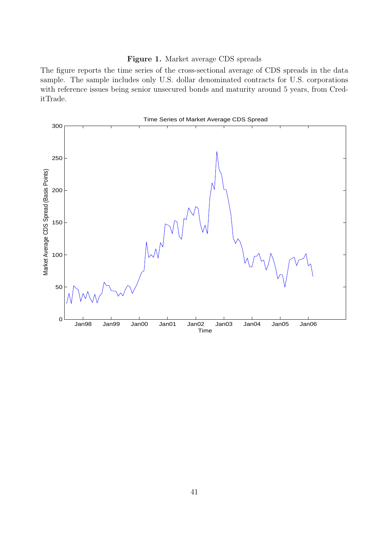#### Figure 1. Market average CDS spreads

The figure reports the time series of the cross-sectional average of CDS spreads in the data sample. The sample includes only U.S. dollar denominated contracts for U.S. corporations with reference issues being senior unsecured bonds and maturity around 5 years, from CreditTrade.